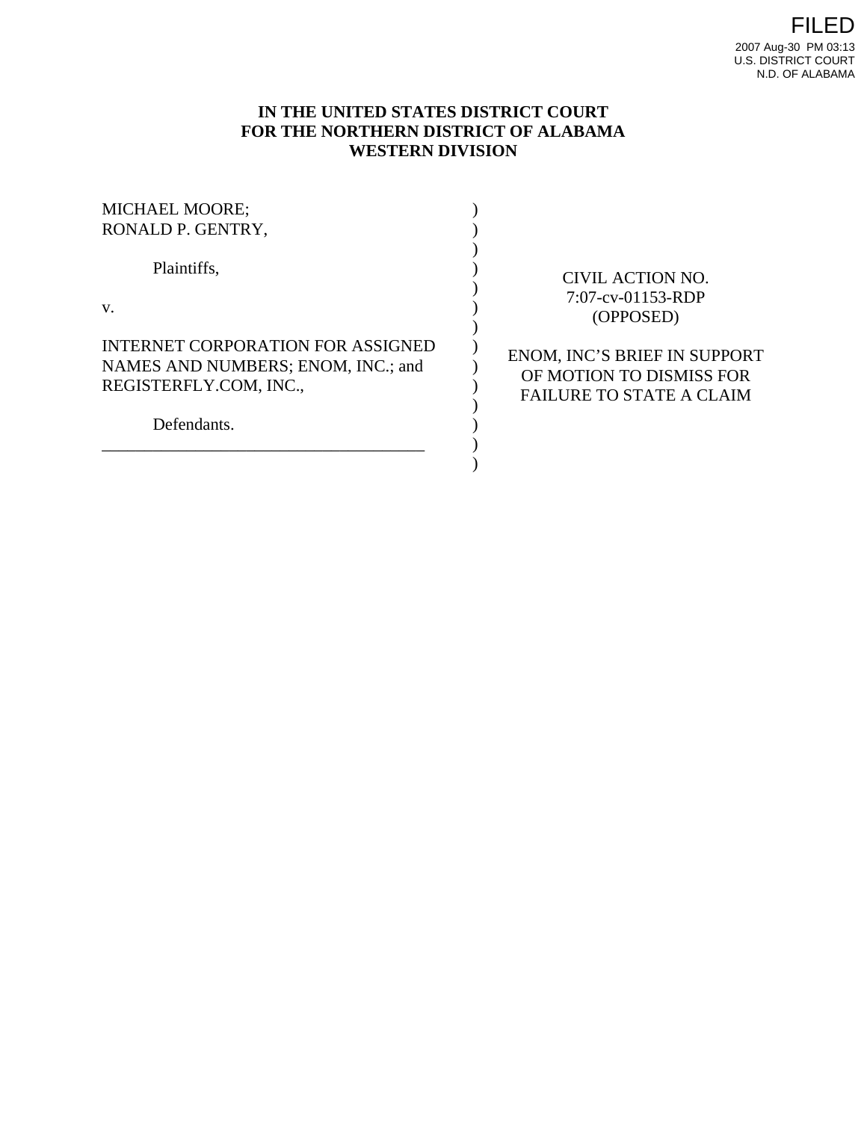# **IN THE UNITED STATES DISTRICT COURT FOR THE NORTHERN DISTRICT OF ALABAMA WESTERN DIVISION**

| <b>MICHAEL MOORE;</b><br>RONALD P. GENTRY,                                                                       |                                                                                             |
|------------------------------------------------------------------------------------------------------------------|---------------------------------------------------------------------------------------------|
| Plaintiffs,                                                                                                      | CIVIL ACTION NO.<br>$7:07$ -cv-01153-RDP                                                    |
| $V_{\cdot}$                                                                                                      | (OPPOSED)                                                                                   |
| INTERNET CORPORATION FOR ASSIGNED<br>NAMES AND NUMBERS; ENOM, INC.; and<br>REGISTERFLY.COM, INC.,<br>Defendants. | ENOM, INC'S BRIEF IN SUPPORT<br>OF MOTION TO DISMISS FOR<br><b>FAILURE TO STATE A CLAIM</b> |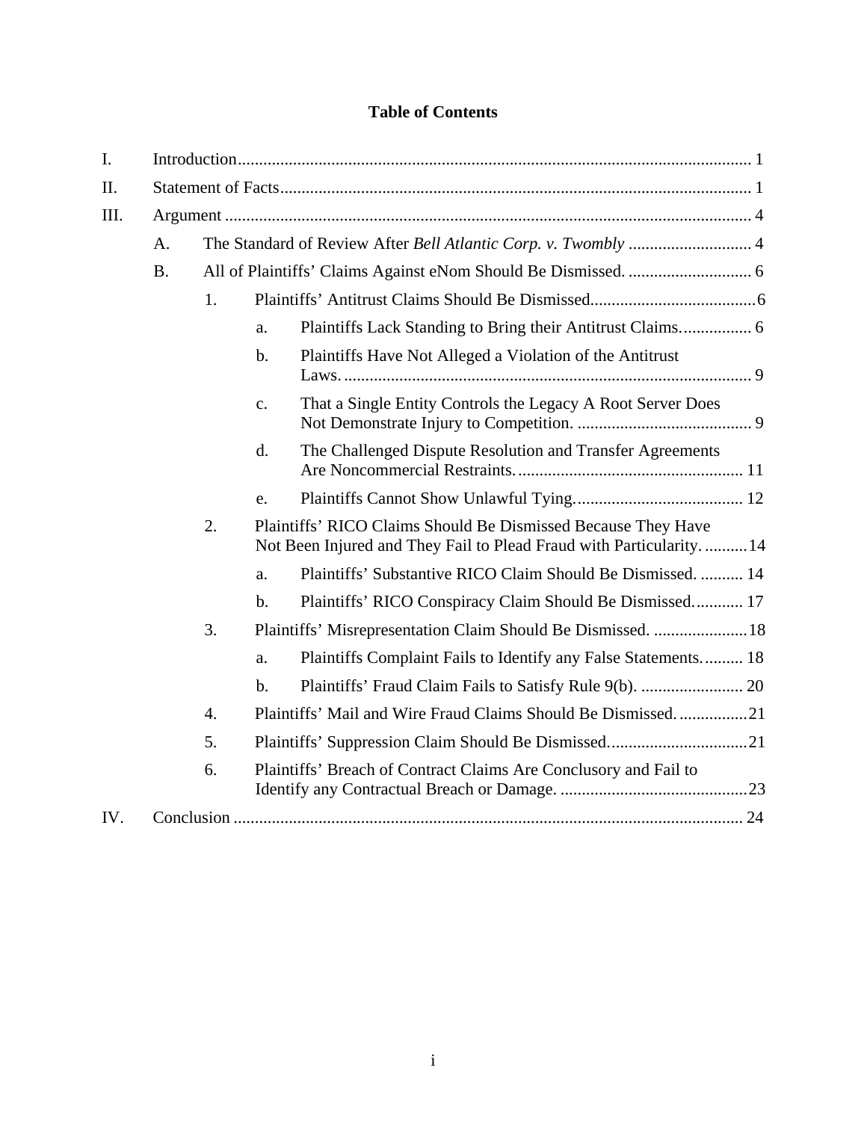# **Table of Contents**

| I.   |                |                  |                                                                                                                                      |                                                                  |  |
|------|----------------|------------------|--------------------------------------------------------------------------------------------------------------------------------------|------------------------------------------------------------------|--|
| II.  |                |                  |                                                                                                                                      |                                                                  |  |
| III. |                |                  |                                                                                                                                      |                                                                  |  |
|      | A.             |                  |                                                                                                                                      |                                                                  |  |
|      | <b>B.</b>      |                  |                                                                                                                                      |                                                                  |  |
|      | 1 <sub>1</sub> |                  |                                                                                                                                      |                                                                  |  |
|      |                |                  | a.                                                                                                                                   |                                                                  |  |
|      |                |                  | $\mathbf{b}$ .                                                                                                                       | Plaintiffs Have Not Alleged a Violation of the Antitrust         |  |
|      |                |                  | $\mathbf{c}$ .                                                                                                                       | That a Single Entity Controls the Legacy A Root Server Does      |  |
|      |                |                  | $\mathbf{d}$ .                                                                                                                       | The Challenged Dispute Resolution and Transfer Agreements        |  |
|      |                |                  | e.                                                                                                                                   |                                                                  |  |
|      | 2.             |                  | Plaintiffs' RICO Claims Should Be Dismissed Because They Have<br>Not Been Injured and They Fail to Plead Fraud with Particularity 14 |                                                                  |  |
|      |                |                  | a.                                                                                                                                   | Plaintiffs' Substantive RICO Claim Should Be Dismissed.  14      |  |
|      |                |                  | $\mathbf{b}$ .                                                                                                                       | Plaintiffs' RICO Conspiracy Claim Should Be Dismissed 17         |  |
|      | 3.             |                  |                                                                                                                                      | Plaintiffs' Misrepresentation Claim Should Be Dismissed.  18     |  |
|      |                |                  | a.                                                                                                                                   | Plaintiffs Complaint Fails to Identify any False Statements 18   |  |
|      |                |                  | $\mathbf b$ .                                                                                                                        |                                                                  |  |
|      |                | $\overline{4}$ . |                                                                                                                                      | Plaintiffs' Mail and Wire Fraud Claims Should Be Dismissed21     |  |
|      |                | 5.               |                                                                                                                                      |                                                                  |  |
|      |                | 6.               |                                                                                                                                      | Plaintiffs' Breach of Contract Claims Are Conclusory and Fail to |  |
| IV.  |                |                  |                                                                                                                                      |                                                                  |  |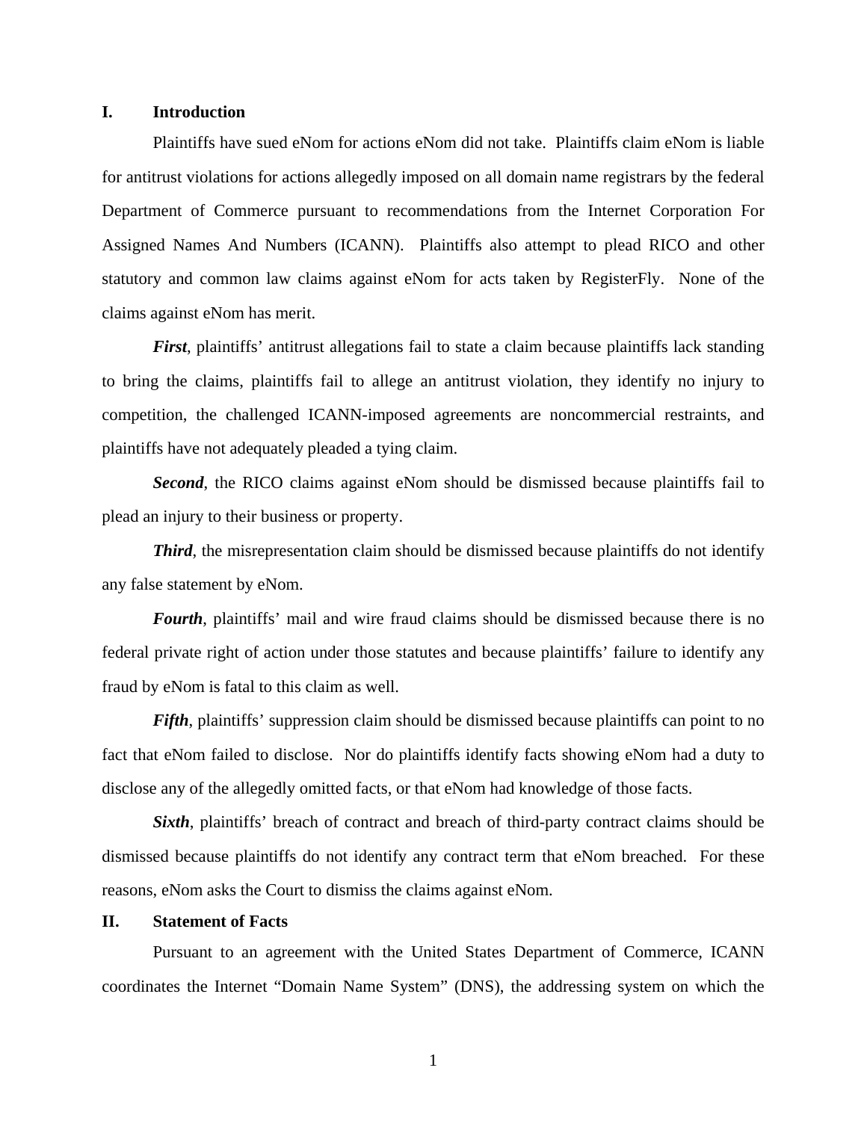## **I. Introduction**

Plaintiffs have sued eNom for actions eNom did not take. Plaintiffs claim eNom is liable for antitrust violations for actions allegedly imposed on all domain name registrars by the federal Department of Commerce pursuant to recommendations from the Internet Corporation For Assigned Names And Numbers (ICANN). Plaintiffs also attempt to plead RICO and other statutory and common law claims against eNom for acts taken by RegisterFly. None of the claims against eNom has merit.

*First*, plaintiffs' antitrust allegations fail to state a claim because plaintiffs lack standing to bring the claims, plaintiffs fail to allege an antitrust violation, they identify no injury to competition, the challenged ICANN-imposed agreements are noncommercial restraints, and plaintiffs have not adequately pleaded a tying claim.

*Second*, the RICO claims against eNom should be dismissed because plaintiffs fail to plead an injury to their business or property.

**Third**, the misrepresentation claim should be dismissed because plaintiffs do not identify any false statement by eNom.

*Fourth*, plaintiffs' mail and wire fraud claims should be dismissed because there is no federal private right of action under those statutes and because plaintiffs' failure to identify any fraud by eNom is fatal to this claim as well.

*Fifth*, plaintiffs' suppression claim should be dismissed because plaintiffs can point to no fact that eNom failed to disclose. Nor do plaintiffs identify facts showing eNom had a duty to disclose any of the allegedly omitted facts, or that eNom had knowledge of those facts.

*Sixth*, plaintiffs' breach of contract and breach of third-party contract claims should be dismissed because plaintiffs do not identify any contract term that eNom breached. For these reasons, eNom asks the Court to dismiss the claims against eNom.

### **II. Statement of Facts**

Pursuant to an agreement with the United States Department of Commerce, ICANN coordinates the Internet "Domain Name System" (DNS), the addressing system on which the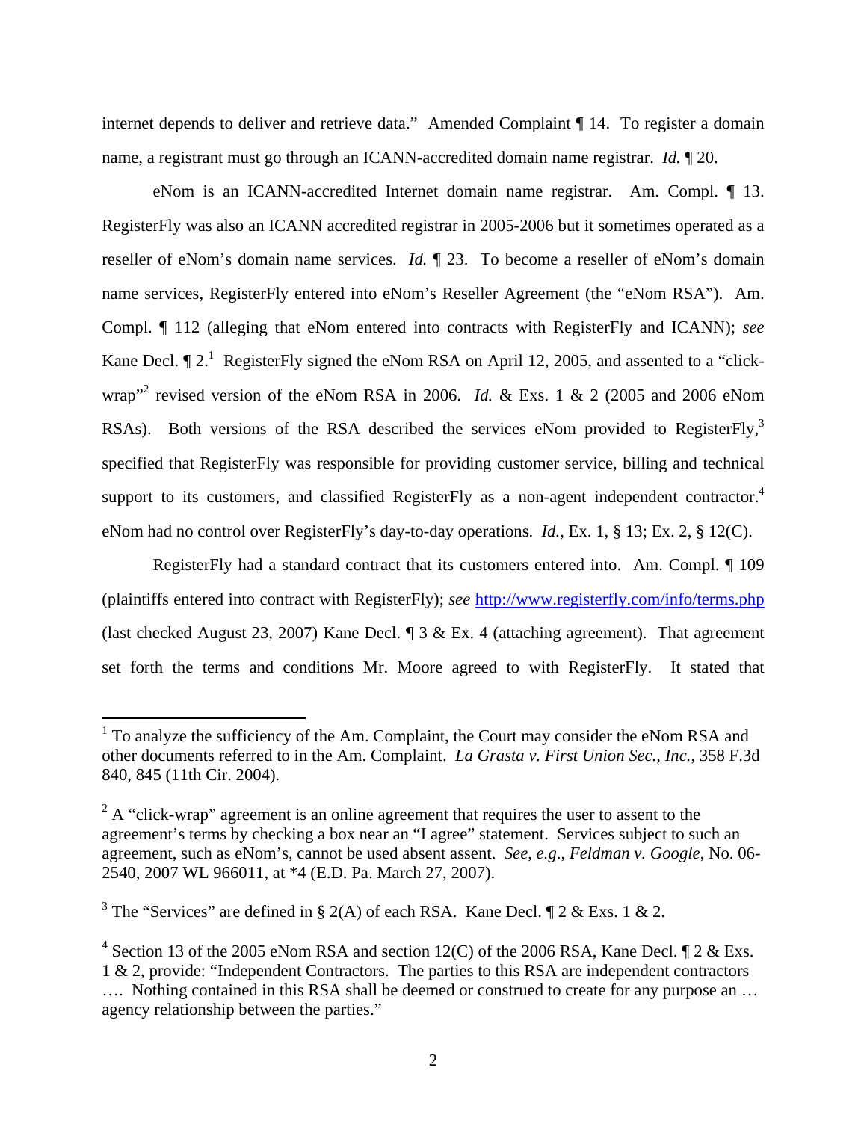internet depends to deliver and retrieve data." Amended Complaint ¶ 14. To register a domain name, a registrant must go through an ICANN-accredited domain name registrar. *Id.* ¶ 20.

eNom is an ICANN-accredited Internet domain name registrar. Am. Compl. ¶ 13. RegisterFly was also an ICANN accredited registrar in 2005-2006 but it sometimes operated as a reseller of eNom's domain name services. *Id.* ¶ 23. To become a reseller of eNom's domain name services, RegisterFly entered into eNom's Reseller Agreement (the "eNom RSA"). Am. Compl. ¶ 112 (alleging that eNom entered into contracts with RegisterFly and ICANN); *see*  Kane Decl.  $\P$  2.<sup>1</sup> Register Fly signed the eNom RSA on April 12, 2005, and assented to a "clickwrap<sup>"2</sup> revised version of the eNom RSA in 2006. *Id.* & Exs. 1 & 2 (2005 and 2006 eNom RSAs). Both versions of the RSA described the services eNom provided to RegisterFly,<sup>3</sup> specified that RegisterFly was responsible for providing customer service, billing and technical support to its customers, and classified RegisterFly as a non-agent independent contractor.<sup>4</sup> eNom had no control over RegisterFly's day-to-day operations. *Id.*, Ex. 1, § 13; Ex. 2, § 12(C).

RegisterFly had a standard contract that its customers entered into. Am. Compl. ¶ 109 (plaintiffs entered into contract with RegisterFly); *see* http://www.registerfly.com/info/terms.php (last checked August 23, 2007) Kane Decl. ¶ 3 & Ex. 4 (attaching agreement). That agreement set forth the terms and conditions Mr. Moore agreed to with RegisterFly. It stated that

<sup>&</sup>lt;sup>1</sup> To analyze the sufficiency of the Am. Complaint, the Court may consider the eNom RSA and other documents referred to in the Am. Complaint. *La Grasta v. First Union Sec., Inc.*, 358 F.3d 840, 845 (11th Cir. 2004).

 $2^2$  A "click-wrap" agreement is an online agreement that requires the user to assent to the agreement's terms by checking a box near an "I agree" statement. Services subject to such an agreement, such as eNom's, cannot be used absent assent. *See*, *e.g*., *Feldman v. Google*, No. 06- 2540, 2007 WL 966011, at \*4 (E.D. Pa. March 27, 2007).

<sup>&</sup>lt;sup>3</sup> The "Services" are defined in § 2(A) of each RSA. Kane Decl.  $\parallel$  2 & Exs. 1 & 2.

<sup>&</sup>lt;sup>4</sup> Section 13 of the 2005 eNom RSA and section 12(C) of the 2006 RSA, Kane Decl.  $\P$  2 & Exs. 1 & 2, provide: "Independent Contractors. The parties to this RSA are independent contractors …. Nothing contained in this RSA shall be deemed or construed to create for any purpose an … agency relationship between the parties."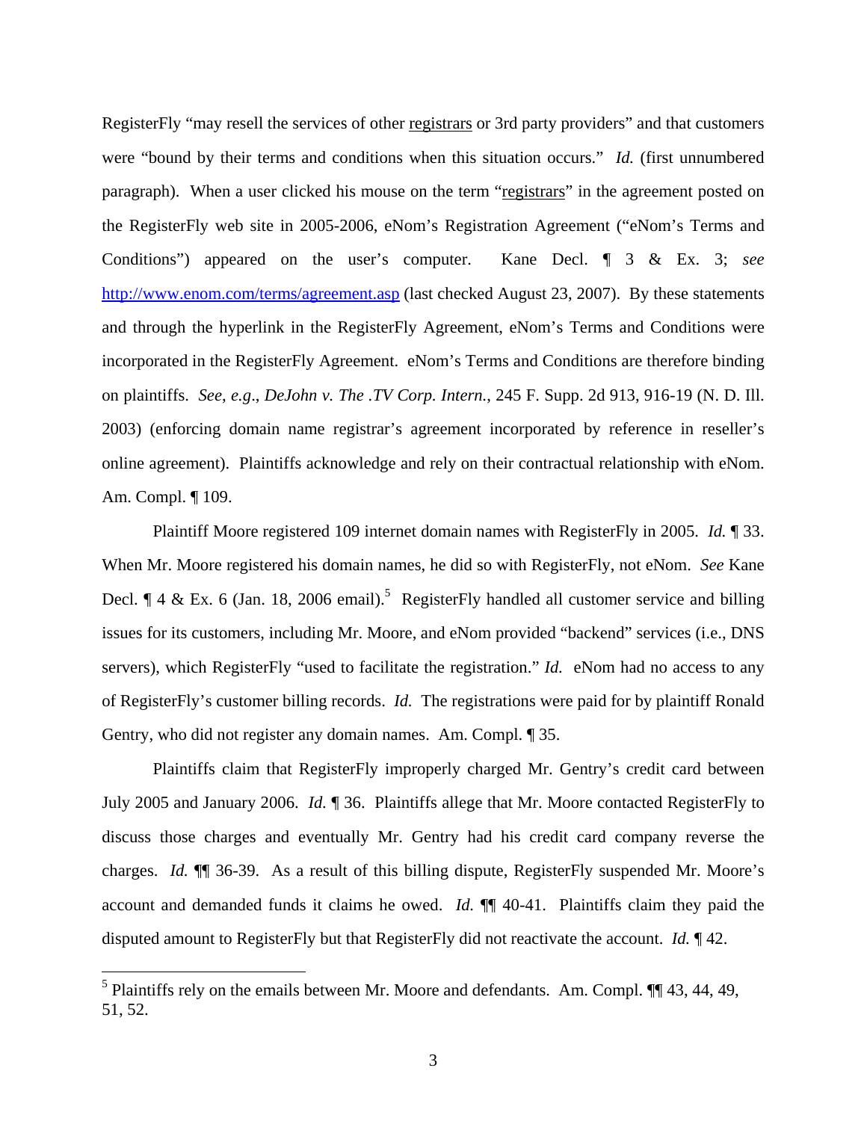RegisterFly "may resell the services of other registrars or 3rd party providers" and that customers were "bound by their terms and conditions when this situation occurs." *Id.* (first unnumbered paragraph). When a user clicked his mouse on the term "registrars" in the agreement posted on the RegisterFly web site in 2005-2006, eNom's Registration Agreement ("eNom's Terms and Conditions") appeared on the user's computer. Kane Decl. ¶ 3 & Ex. 3; *see* http://www.enom.com/terms/agreement.asp (last checked August 23, 2007). By these statements and through the hyperlink in the RegisterFly Agreement, eNom's Terms and Conditions were incorporated in the RegisterFly Agreement. eNom's Terms and Conditions are therefore binding on plaintiffs. *See*, *e.g*., *DeJohn v. The .TV Corp. Intern.*, 245 F. Supp. 2d 913, 916-19 (N. D. Ill. 2003) (enforcing domain name registrar's agreement incorporated by reference in reseller's online agreement). Plaintiffs acknowledge and rely on their contractual relationship with eNom. Am. Compl. ¶ 109.

Plaintiff Moore registered 109 internet domain names with RegisterFly in 2005. *Id.* ¶ 33. When Mr. Moore registered his domain names, he did so with RegisterFly, not eNom. *See* Kane Decl.  $\P$  4 & Ex. 6 (Jan. 18, 2006 email).<sup>5</sup> RegisterFly handled all customer service and billing issues for its customers, including Mr. Moore, and eNom provided "backend" services (i.e., DNS servers), which RegisterFly "used to facilitate the registration." *Id.* eNom had no access to any of RegisterFly's customer billing records. *Id.* The registrations were paid for by plaintiff Ronald Gentry, who did not register any domain names. Am. Compl. ¶ 35.

Plaintiffs claim that RegisterFly improperly charged Mr. Gentry's credit card between July 2005 and January 2006. *Id.* ¶ 36. Plaintiffs allege that Mr. Moore contacted RegisterFly to discuss those charges and eventually Mr. Gentry had his credit card company reverse the charges. *Id.* ¶¶ 36-39. As a result of this billing dispute, RegisterFly suspended Mr. Moore's account and demanded funds it claims he owed. *Id.* ¶¶ 40-41. Plaintiffs claim they paid the disputed amount to RegisterFly but that RegisterFly did not reactivate the account. *Id.* ¶ 42.

 $\overline{a}$ 

<sup>&</sup>lt;sup>5</sup> Plaintiffs rely on the emails between Mr. Moore and defendants. Am. Compl.  $\P\P$  43, 44, 49, 51, 52.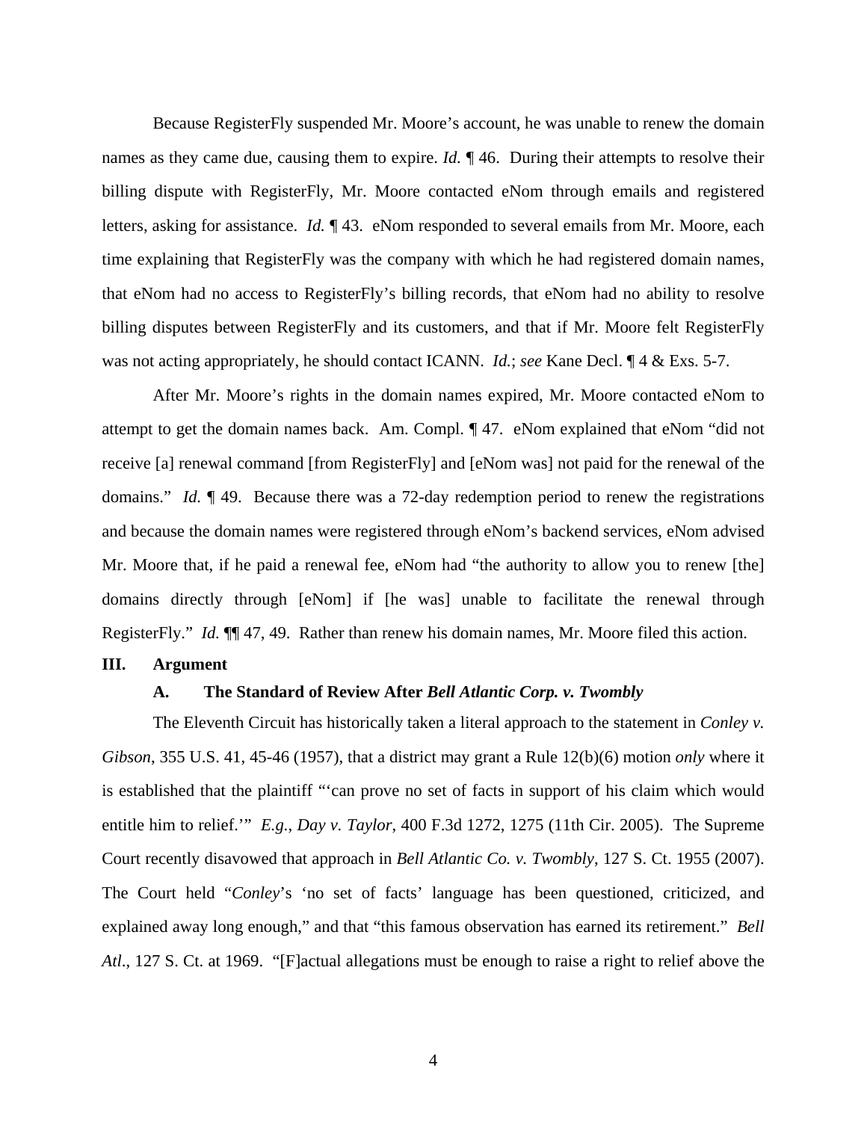Because RegisterFly suspended Mr. Moore's account, he was unable to renew the domain names as they came due, causing them to expire. *Id.* ¶ 46. During their attempts to resolve their billing dispute with RegisterFly, Mr. Moore contacted eNom through emails and registered letters, asking for assistance. *Id.* ¶ 43. eNom responded to several emails from Mr. Moore, each time explaining that RegisterFly was the company with which he had registered domain names, that eNom had no access to RegisterFly's billing records, that eNom had no ability to resolve billing disputes between RegisterFly and its customers, and that if Mr. Moore felt RegisterFly was not acting appropriately, he should contact ICANN. *Id.*; *see* Kane Decl. ¶ 4 & Exs. 5-7.

After Mr. Moore's rights in the domain names expired, Mr. Moore contacted eNom to attempt to get the domain names back. Am. Compl. ¶ 47. eNom explained that eNom "did not receive [a] renewal command [from RegisterFly] and [eNom was] not paid for the renewal of the domains." *Id.* ¶ 49. Because there was a 72-day redemption period to renew the registrations and because the domain names were registered through eNom's backend services, eNom advised Mr. Moore that, if he paid a renewal fee, eNom had "the authority to allow you to renew [the] domains directly through [eNom] if [he was] unable to facilitate the renewal through RegisterFly." *Id.* ¶¶ 47, 49. Rather than renew his domain names, Mr. Moore filed this action.

### **III. Argument**

### **A. The Standard of Review After** *Bell Atlantic Corp. v. Twombly*

The Eleventh Circuit has historically taken a literal approach to the statement in *Conley v. Gibson*, 355 U.S. 41, 45-46 (1957), that a district may grant a Rule 12(b)(6) motion *only* where it is established that the plaintiff "'can prove no set of facts in support of his claim which would entitle him to relief.'" *E.g.*, *Day v. Taylor*, 400 F.3d 1272, 1275 (11th Cir. 2005). The Supreme Court recently disavowed that approach in *Bell Atlantic Co. v. Twombly*, 127 S. Ct. 1955 (2007). The Court held "*Conley*'s 'no set of facts' language has been questioned, criticized, and explained away long enough," and that "this famous observation has earned its retirement." *Bell Atl*., 127 S. Ct. at 1969. "[F]actual allegations must be enough to raise a right to relief above the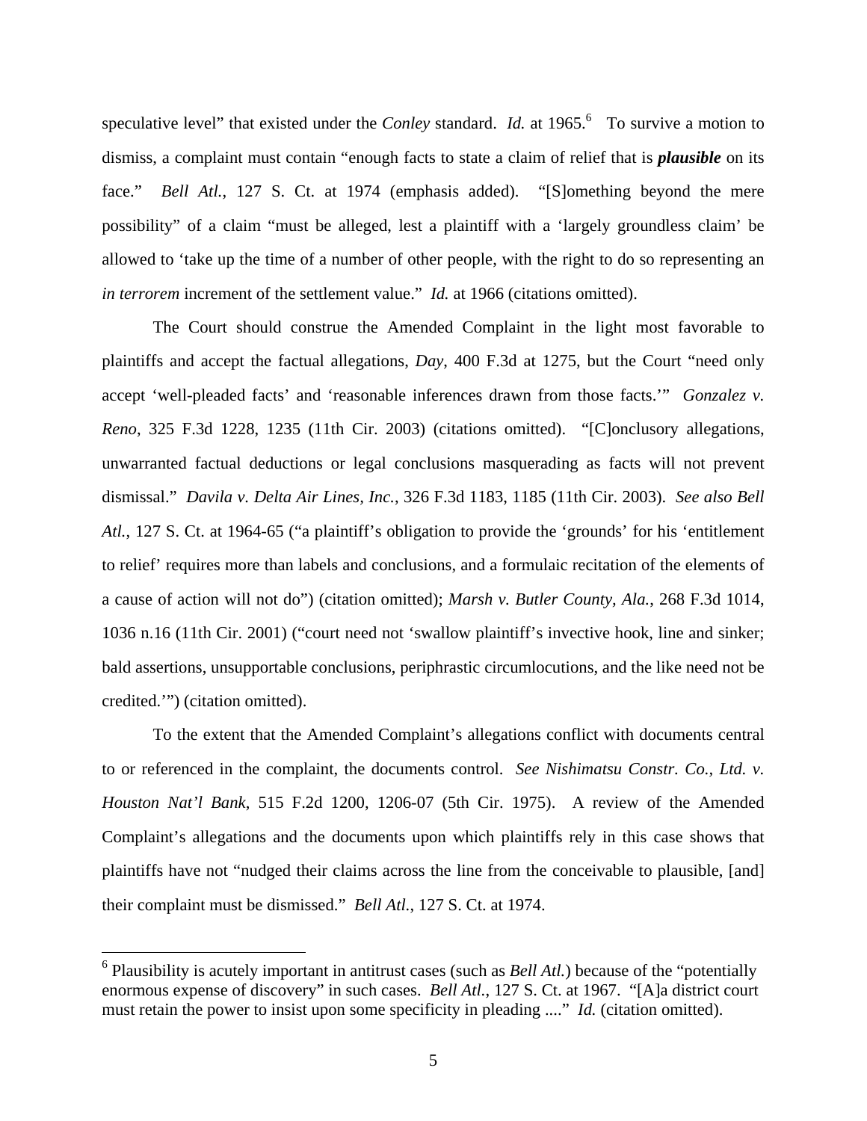speculative level" that existed under the *Conley* standard. *Id.* at 1965. <sup>6</sup> To survive a motion to dismiss, a complaint must contain "enough facts to state a claim of relief that is *plausible* on its face." *Bell Atl.*, 127 S. Ct. at 1974 (emphasis added). "[S]omething beyond the mere possibility" of a claim "must be alleged, lest a plaintiff with a 'largely groundless claim' be allowed to 'take up the time of a number of other people, with the right to do so representing an *in terrorem* increment of the settlement value." *Id.* at 1966 (citations omitted).

The Court should construe the Amended Complaint in the light most favorable to plaintiffs and accept the factual allegations, *Day*, 400 F.3d at 1275, but the Court "need only accept 'well-pleaded facts' and 'reasonable inferences drawn from those facts.'" *Gonzalez v. Reno*, 325 F.3d 1228, 1235 (11th Cir. 2003) (citations omitted). "[C]onclusory allegations, unwarranted factual deductions or legal conclusions masquerading as facts will not prevent dismissal." *Davila v. Delta Air Lines, Inc.*, 326 F.3d 1183, 1185 (11th Cir. 2003). *See also Bell Atl.*, 127 S. Ct. at 1964-65 ("a plaintiff's obligation to provide the 'grounds' for his 'entitlement to relief' requires more than labels and conclusions, and a formulaic recitation of the elements of a cause of action will not do") (citation omitted); *Marsh v. Butler County, Ala.*, 268 F.3d 1014, 1036 n.16 (11th Cir. 2001) ("court need not 'swallow plaintiff's invective hook, line and sinker; bald assertions, unsupportable conclusions, periphrastic circumlocutions, and the like need not be credited.'") (citation omitted).

To the extent that the Amended Complaint's allegations conflict with documents central to or referenced in the complaint, the documents control. *See Nishimatsu Constr. Co., Ltd. v. Houston Nat'l Bank*, 515 F.2d 1200, 1206-07 (5th Cir. 1975). A review of the Amended Complaint's allegations and the documents upon which plaintiffs rely in this case shows that plaintiffs have not "nudged their claims across the line from the conceivable to plausible, [and] their complaint must be dismissed." *Bell Atl.*, 127 S. Ct. at 1974.

<sup>&</sup>lt;sup>6</sup> Plausibility is acutely important in antitrust cases (such as *Bell Atl.*) because of the "potentially enormous expense of discovery" in such cases. *Bell Atl.*, 127 S. Ct. at 1967. "[A]a district court must retain the power to insist upon some specificity in pleading ...." *Id.* (citation omitted).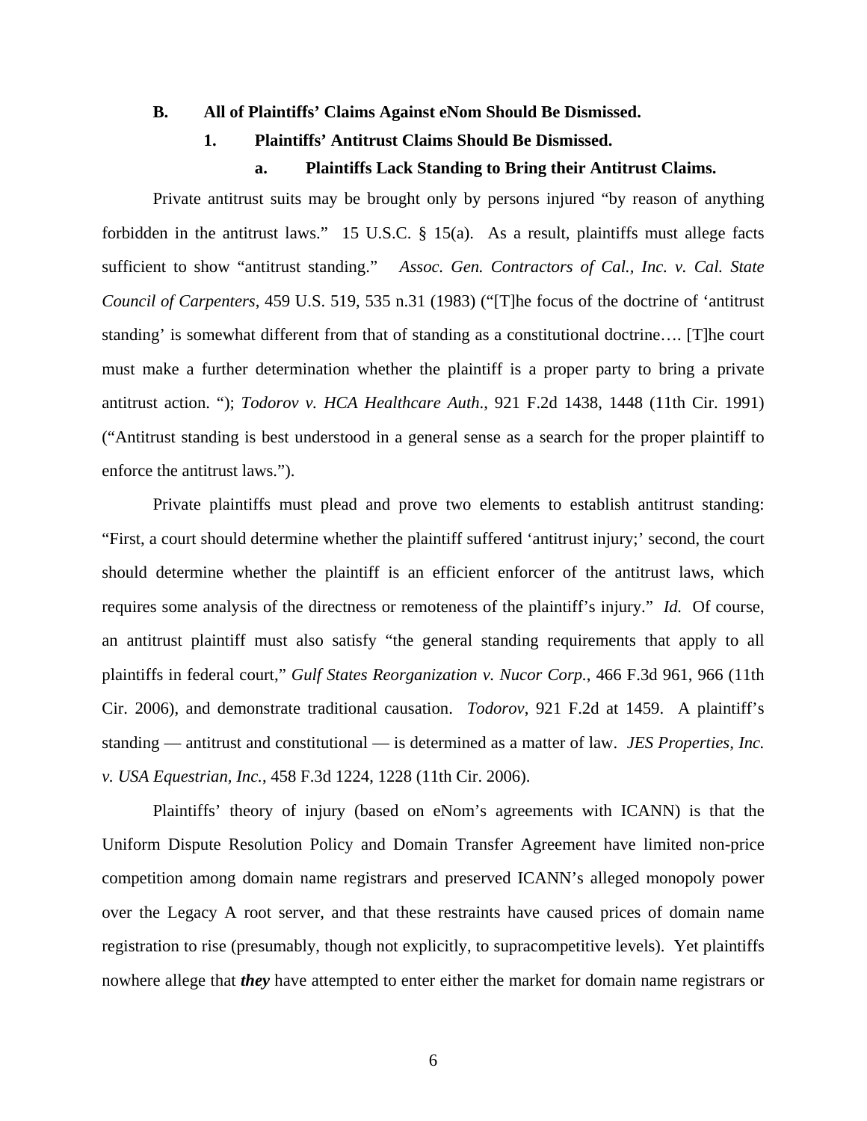#### **B. All of Plaintiffs' Claims Against eNom Should Be Dismissed.**

# **1. Plaintiffs' Antitrust Claims Should Be Dismissed.**

## **a. Plaintiffs Lack Standing to Bring their Antitrust Claims.**

Private antitrust suits may be brought only by persons injured "by reason of anything forbidden in the antitrust laws." 15 U.S.C. § 15(a). As a result, plaintiffs must allege facts sufficient to show "antitrust standing." *Assoc. Gen. Contractors of Cal., Inc. v. Cal. State Council of Carpenters*, 459 U.S. 519, 535 n.31 (1983) ("[T]he focus of the doctrine of 'antitrust standing' is somewhat different from that of standing as a constitutional doctrine…. [T]he court must make a further determination whether the plaintiff is a proper party to bring a private antitrust action. "); *Todorov v. HCA Healthcare Auth*., 921 F.2d 1438, 1448 (11th Cir. 1991) ("Antitrust standing is best understood in a general sense as a search for the proper plaintiff to enforce the antitrust laws.").

Private plaintiffs must plead and prove two elements to establish antitrust standing: "First, a court should determine whether the plaintiff suffered 'antitrust injury;' second, the court should determine whether the plaintiff is an efficient enforcer of the antitrust laws, which requires some analysis of the directness or remoteness of the plaintiff's injury." *Id.* Of course, an antitrust plaintiff must also satisfy "the general standing requirements that apply to all plaintiffs in federal court," *Gulf States Reorganization v. Nucor Corp.*, 466 F.3d 961, 966 (11th Cir. 2006), and demonstrate traditional causation. *Todorov*, 921 F.2d at 1459. A plaintiff's standing — antitrust and constitutional — is determined as a matter of law. *JES Properties, Inc. v. USA Equestrian, Inc.*, 458 F.3d 1224, 1228 (11th Cir. 2006).

Plaintiffs' theory of injury (based on eNom's agreements with ICANN) is that the Uniform Dispute Resolution Policy and Domain Transfer Agreement have limited non-price competition among domain name registrars and preserved ICANN's alleged monopoly power over the Legacy A root server, and that these restraints have caused prices of domain name registration to rise (presumably, though not explicitly, to supracompetitive levels). Yet plaintiffs nowhere allege that *they* have attempted to enter either the market for domain name registrars or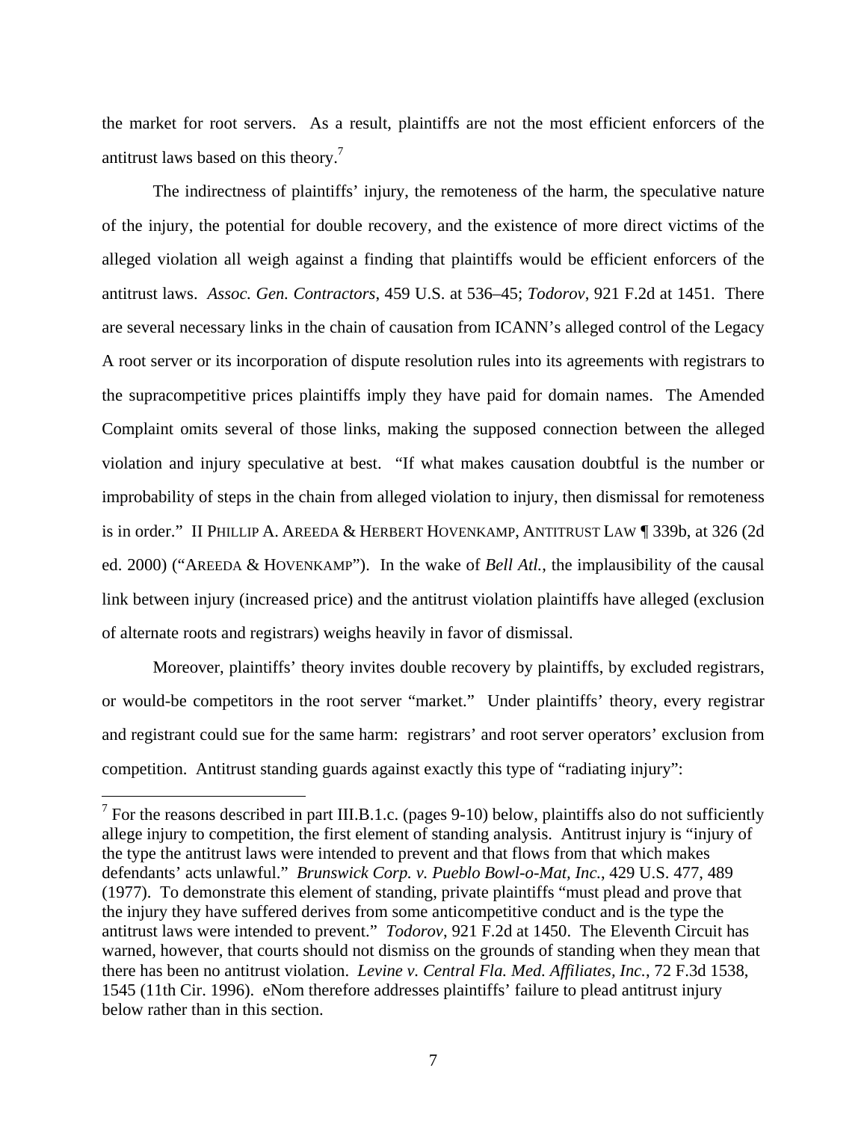the market for root servers. As a result, plaintiffs are not the most efficient enforcers of the antitrust laws based on this theory.<sup>7</sup>

The indirectness of plaintiffs' injury, the remoteness of the harm, the speculative nature of the injury, the potential for double recovery, and the existence of more direct victims of the alleged violation all weigh against a finding that plaintiffs would be efficient enforcers of the antitrust laws. *Assoc. Gen. Contractors*, 459 U.S. at 536–45; *Todorov*, 921 F.2d at 1451. There are several necessary links in the chain of causation from ICANN's alleged control of the Legacy A root server or its incorporation of dispute resolution rules into its agreements with registrars to the supracompetitive prices plaintiffs imply they have paid for domain names. The Amended Complaint omits several of those links, making the supposed connection between the alleged violation and injury speculative at best. "If what makes causation doubtful is the number or improbability of steps in the chain from alleged violation to injury, then dismissal for remoteness is in order." II PHILLIP A. AREEDA & HERBERT HOVENKAMP, ANTITRUST LAW ¶ 339b, at 326 (2d ed. 2000) ("AREEDA & HOVENKAMP"). In the wake of *Bell Atl.*, the implausibility of the causal link between injury (increased price) and the antitrust violation plaintiffs have alleged (exclusion of alternate roots and registrars) weighs heavily in favor of dismissal.

Moreover, plaintiffs' theory invites double recovery by plaintiffs, by excluded registrars, or would-be competitors in the root server "market." Under plaintiffs' theory, every registrar and registrant could sue for the same harm: registrars' and root server operators' exclusion from competition. Antitrust standing guards against exactly this type of "radiating injury":

<sup>&</sup>lt;sup>7</sup> For the reasons described in part III.B.1.c. (pages 9-10) below, plaintiffs also do not sufficiently allege injury to competition, the first element of standing analysis. Antitrust injury is "injury of the type the antitrust laws were intended to prevent and that flows from that which makes defendants' acts unlawful." *Brunswick Corp. v. Pueblo Bowl-o-Mat, Inc.*, 429 U.S. 477, 489 (1977). To demonstrate this element of standing, private plaintiffs "must plead and prove that the injury they have suffered derives from some anticompetitive conduct and is the type the antitrust laws were intended to prevent." *Todorov*, 921 F.2d at 1450. The Eleventh Circuit has warned, however, that courts should not dismiss on the grounds of standing when they mean that there has been no antitrust violation. *Levine v. Central Fla. Med. Affiliates, Inc.*, 72 F.3d 1538, 1545 (11th Cir. 1996). eNom therefore addresses plaintiffs' failure to plead antitrust injury below rather than in this section.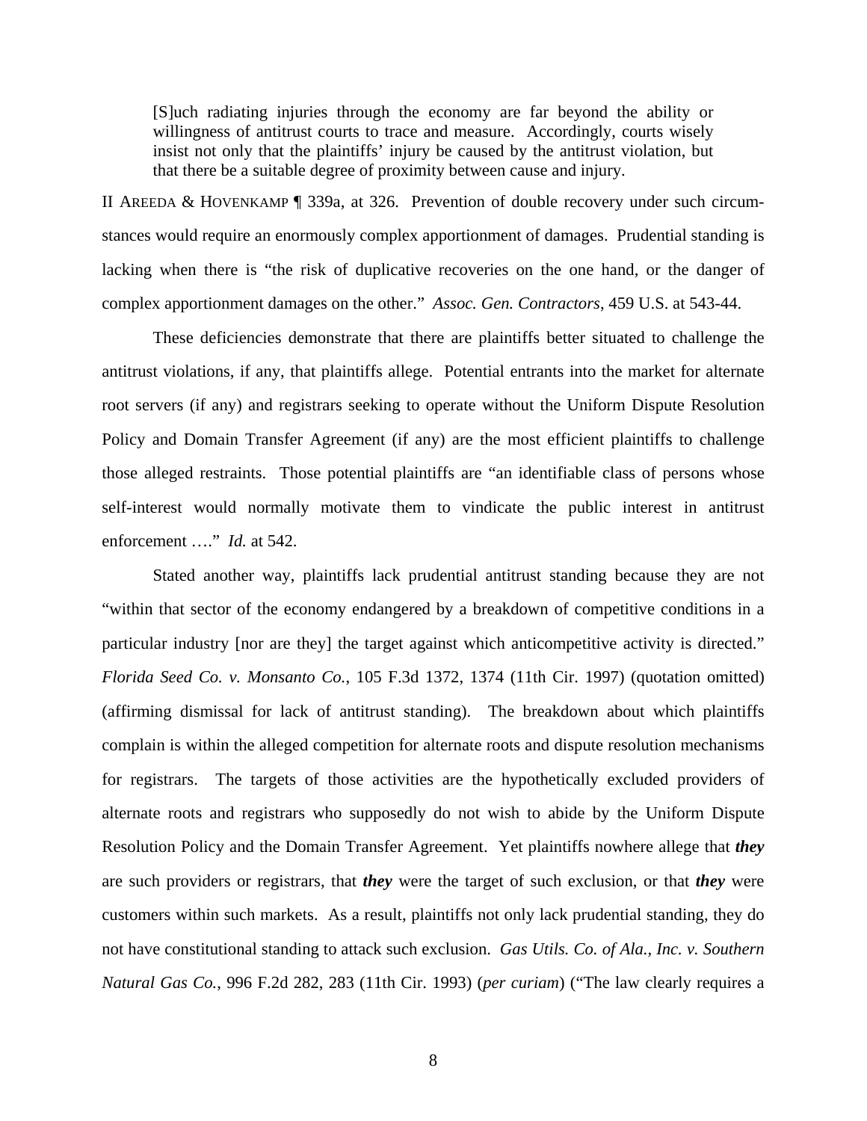[S]uch radiating injuries through the economy are far beyond the ability or willingness of antitrust courts to trace and measure. Accordingly, courts wisely insist not only that the plaintiffs' injury be caused by the antitrust violation, but that there be a suitable degree of proximity between cause and injury.

II AREEDA & HOVENKAMP ¶ 339a, at 326. Prevention of double recovery under such circumstances would require an enormously complex apportionment of damages. Prudential standing is lacking when there is "the risk of duplicative recoveries on the one hand, or the danger of complex apportionment damages on the other." *Assoc. Gen. Contractors*, 459 U.S. at 543-44.

These deficiencies demonstrate that there are plaintiffs better situated to challenge the antitrust violations, if any, that plaintiffs allege. Potential entrants into the market for alternate root servers (if any) and registrars seeking to operate without the Uniform Dispute Resolution Policy and Domain Transfer Agreement (if any) are the most efficient plaintiffs to challenge those alleged restraints. Those potential plaintiffs are "an identifiable class of persons whose self-interest would normally motivate them to vindicate the public interest in antitrust enforcement …." *Id.* at 542.

Stated another way, plaintiffs lack prudential antitrust standing because they are not "within that sector of the economy endangered by a breakdown of competitive conditions in a particular industry [nor are they] the target against which anticompetitive activity is directed." *Florida Seed Co. v. Monsanto Co.*, 105 F.3d 1372, 1374 (11th Cir. 1997) (quotation omitted) (affirming dismissal for lack of antitrust standing). The breakdown about which plaintiffs complain is within the alleged competition for alternate roots and dispute resolution mechanisms for registrars. The targets of those activities are the hypothetically excluded providers of alternate roots and registrars who supposedly do not wish to abide by the Uniform Dispute Resolution Policy and the Domain Transfer Agreement. Yet plaintiffs nowhere allege that *they* are such providers or registrars, that *they* were the target of such exclusion, or that *they* were customers within such markets. As a result, plaintiffs not only lack prudential standing, they do not have constitutional standing to attack such exclusion. *Gas Utils. Co. of Ala., Inc. v. Southern Natural Gas Co.*, 996 F.2d 282, 283 (11th Cir. 1993) (*per curiam*) ("The law clearly requires a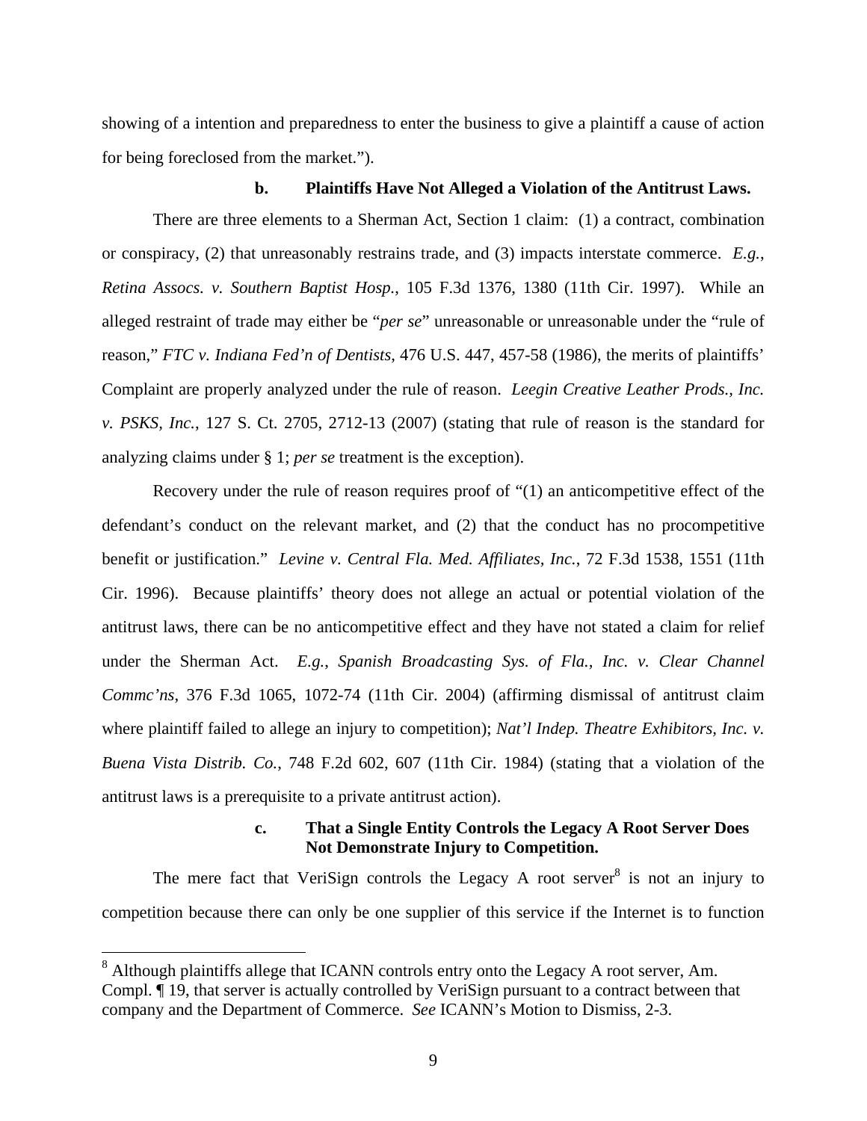showing of a intention and preparedness to enter the business to give a plaintiff a cause of action for being foreclosed from the market.").

### **b. Plaintiffs Have Not Alleged a Violation of the Antitrust Laws.**

There are three elements to a Sherman Act, Section 1 claim: (1) a contract, combination or conspiracy, (2) that unreasonably restrains trade, and (3) impacts interstate commerce. *E.g.*, *Retina Assocs. v. Southern Baptist Hosp.*, 105 F.3d 1376, 1380 (11th Cir. 1997). While an alleged restraint of trade may either be "*per se*" unreasonable or unreasonable under the "rule of reason," *FTC v. Indiana Fed'n of Dentists*, 476 U.S. 447, 457-58 (1986), the merits of plaintiffs' Complaint are properly analyzed under the rule of reason. *Leegin Creative Leather Prods., Inc. v. PSKS, Inc.*, 127 S. Ct. 2705, 2712-13 (2007) (stating that rule of reason is the standard for analyzing claims under § 1; *per se* treatment is the exception).

Recovery under the rule of reason requires proof of "(1) an anticompetitive effect of the defendant's conduct on the relevant market, and (2) that the conduct has no procompetitive benefit or justification." *Levine v. Central Fla. Med. Affiliates, Inc.*, 72 F.3d 1538, 1551 (11th Cir. 1996). Because plaintiffs' theory does not allege an actual or potential violation of the antitrust laws, there can be no anticompetitive effect and they have not stated a claim for relief under the Sherman Act. *E.g.*, *Spanish Broadcasting Sys. of Fla., Inc. v. Clear Channel Commc'ns*, 376 F.3d 1065, 1072-74 (11th Cir. 2004) (affirming dismissal of antitrust claim where plaintiff failed to allege an injury to competition); *Nat'l Indep. Theatre Exhibitors, Inc. v. Buena Vista Distrib. Co.*, 748 F.2d 602, 607 (11th Cir. 1984) (stating that a violation of the antitrust laws is a prerequisite to a private antitrust action).

# **c. That a Single Entity Controls the Legacy A Root Server Does Not Demonstrate Injury to Competition.**

The mere fact that VeriSign controls the Legacy A root server  $\delta$  is not an injury to competition because there can only be one supplier of this service if the Internet is to function

 $\overline{a}$ 

 $8$  Although plaintiffs allege that ICANN controls entry onto the Legacy A root server, Am. Compl. ¶ 19, that server is actually controlled by VeriSign pursuant to a contract between that company and the Department of Commerce. *See* ICANN's Motion to Dismiss, 2-3.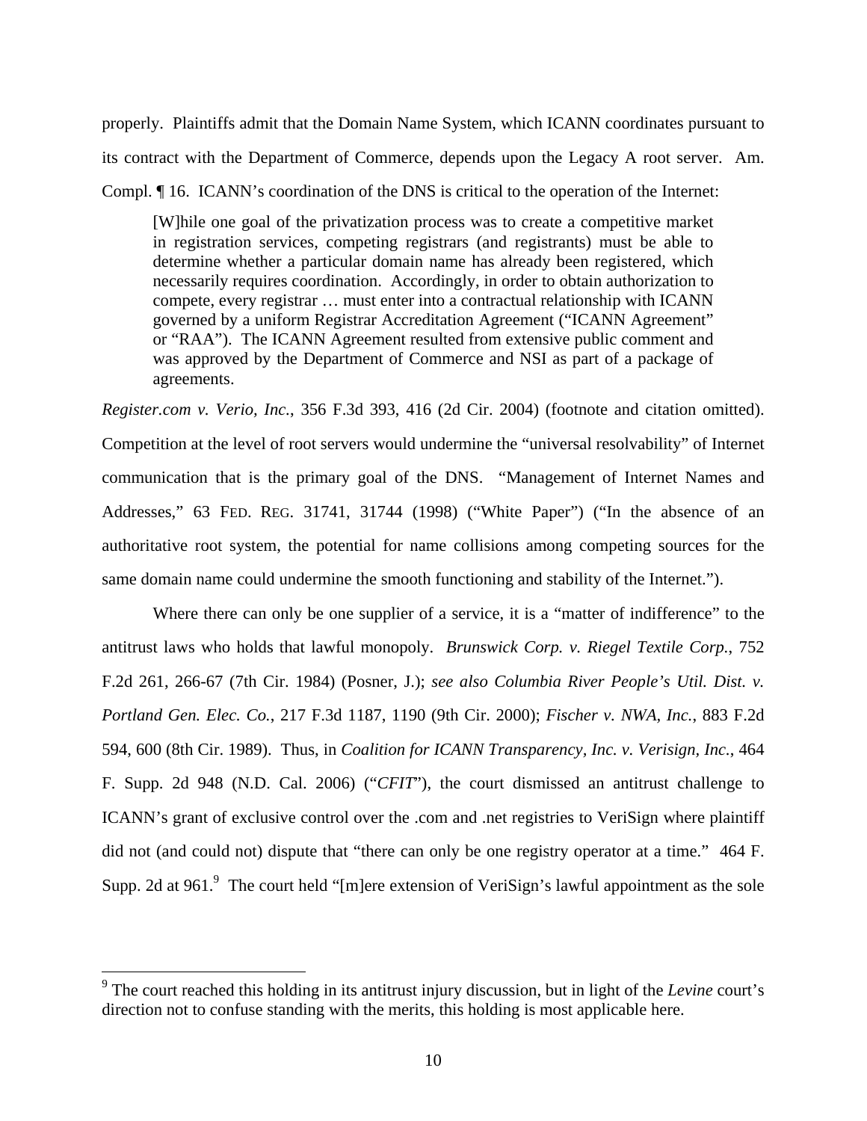properly. Plaintiffs admit that the Domain Name System, which ICANN coordinates pursuant to its contract with the Department of Commerce, depends upon the Legacy A root server. Am. Compl. ¶ 16. ICANN's coordination of the DNS is critical to the operation of the Internet:

[W]hile one goal of the privatization process was to create a competitive market in registration services, competing registrars (and registrants) must be able to determine whether a particular domain name has already been registered, which necessarily requires coordination. Accordingly, in order to obtain authorization to compete, every registrar … must enter into a contractual relationship with ICANN governed by a uniform Registrar Accreditation Agreement ("ICANN Agreement" or "RAA"). The ICANN Agreement resulted from extensive public comment and was approved by the Department of Commerce and NSI as part of a package of agreements.

*Register.com v. Verio, Inc.*, 356 F.3d 393, 416 (2d Cir. 2004) (footnote and citation omitted). Competition at the level of root servers would undermine the "universal resolvability" of Internet communication that is the primary goal of the DNS. "Management of Internet Names and Addresses," 63 FED. REG. 31741, 31744 (1998) ("White Paper") ("In the absence of an authoritative root system, the potential for name collisions among competing sources for the same domain name could undermine the smooth functioning and stability of the Internet.").

Where there can only be one supplier of a service, it is a "matter of indifference" to the antitrust laws who holds that lawful monopoly. *Brunswick Corp. v. Riegel Textile Corp.*, 752 F.2d 261, 266-67 (7th Cir. 1984) (Posner, J.); *see also Columbia River People's Util. Dist. v. Portland Gen. Elec. Co.*, 217 F.3d 1187, 1190 (9th Cir. 2000); *Fischer v. NWA, Inc.*, 883 F.2d 594, 600 (8th Cir. 1989). Thus, in *Coalition for ICANN Transparency, Inc. v. Verisign, Inc.*, 464 F. Supp. 2d 948 (N.D. Cal. 2006) ("*CFIT*"), the court dismissed an antitrust challenge to ICANN's grant of exclusive control over the .com and .net registries to VeriSign where plaintiff did not (and could not) dispute that "there can only be one registry operator at a time." 464 F. Supp. 2d at 961. $9$  The court held "[m]ere extension of VeriSign's lawful appointment as the sole

<sup>9</sup> The court reached this holding in its antitrust injury discussion, but in light of the *Levine* court's direction not to confuse standing with the merits, this holding is most applicable here.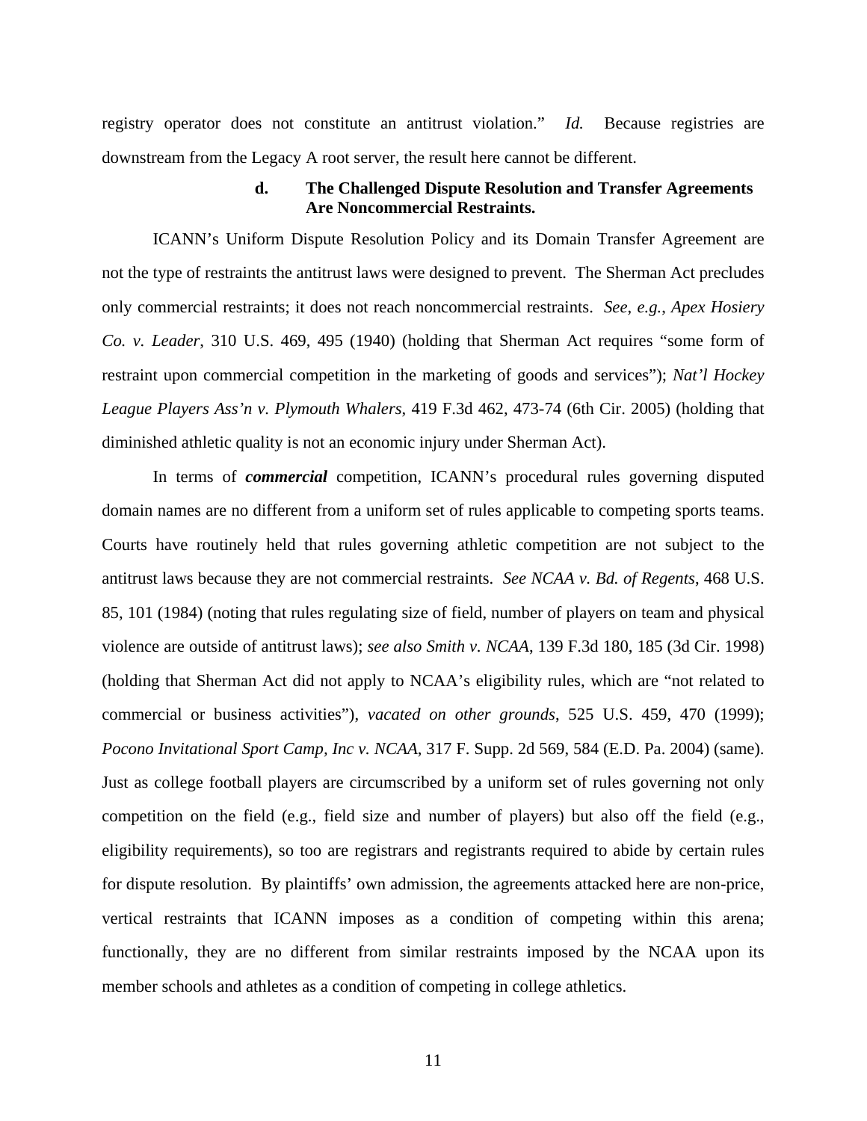registry operator does not constitute an antitrust violation." *Id.* Because registries are downstream from the Legacy A root server, the result here cannot be different.

### **d. The Challenged Dispute Resolution and Transfer Agreements Are Noncommercial Restraints.**

ICANN's Uniform Dispute Resolution Policy and its Domain Transfer Agreement are not the type of restraints the antitrust laws were designed to prevent. The Sherman Act precludes only commercial restraints; it does not reach noncommercial restraints. *See*, *e.g.*, *Apex Hosiery Co. v. Leader*, 310 U.S. 469, 495 (1940) (holding that Sherman Act requires "some form of restraint upon commercial competition in the marketing of goods and services"); *Nat'l Hockey League Players Ass'n v. Plymouth Whalers*, 419 F.3d 462, 473-74 (6th Cir. 2005) (holding that diminished athletic quality is not an economic injury under Sherman Act).

In terms of *commercial* competition, ICANN's procedural rules governing disputed domain names are no different from a uniform set of rules applicable to competing sports teams. Courts have routinely held that rules governing athletic competition are not subject to the antitrust laws because they are not commercial restraints. *See NCAA v. Bd. of Regents*, 468 U.S. 85, 101 (1984) (noting that rules regulating size of field, number of players on team and physical violence are outside of antitrust laws); *see also Smith v. NCAA*, 139 F.3d 180, 185 (3d Cir. 1998) (holding that Sherman Act did not apply to NCAA's eligibility rules, which are "not related to commercial or business activities"), *vacated on other grounds*, 525 U.S. 459, 470 (1999); *Pocono Invitational Sport Camp, Inc v. NCAA*, 317 F. Supp. 2d 569, 584 (E.D. Pa. 2004) (same). Just as college football players are circumscribed by a uniform set of rules governing not only competition on the field (e.g., field size and number of players) but also off the field (e.g., eligibility requirements), so too are registrars and registrants required to abide by certain rules for dispute resolution. By plaintiffs' own admission, the agreements attacked here are non-price, vertical restraints that ICANN imposes as a condition of competing within this arena; functionally, they are no different from similar restraints imposed by the NCAA upon its member schools and athletes as a condition of competing in college athletics.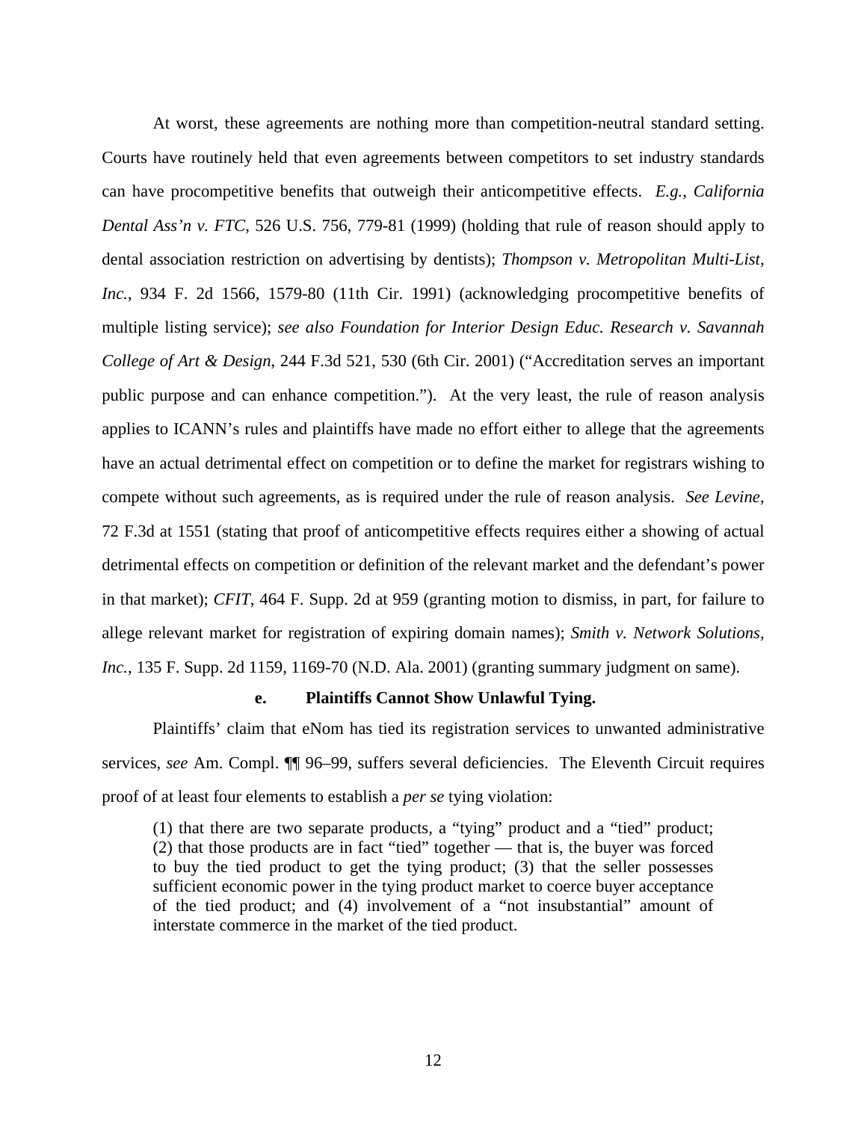At worst, these agreements are nothing more than competition-neutral standard setting. Courts have routinely held that even agreements between competitors to set industry standards can have procompetitive benefits that outweigh their anticompetitive effects. *E.g.*, *California Dental Ass'n v. FTC*, 526 U.S. 756, 779-81 (1999) (holding that rule of reason should apply to dental association restriction on advertising by dentists); *Thompson v. Metropolitan Multi-List, Inc.*, 934 F. 2d 1566, 1579-80 (11th Cir. 1991) (acknowledging procompetitive benefits of multiple listing service); *see also Foundation for Interior Design Educ. Research v. Savannah College of Art & Design*, 244 F.3d 521, 530 (6th Cir. 2001) ("Accreditation serves an important public purpose and can enhance competition."). At the very least, the rule of reason analysis applies to ICANN's rules and plaintiffs have made no effort either to allege that the agreements have an actual detrimental effect on competition or to define the market for registrars wishing to compete without such agreements, as is required under the rule of reason analysis. *See Levine*, 72 F.3d at 1551 (stating that proof of anticompetitive effects requires either a showing of actual detrimental effects on competition or definition of the relevant market and the defendant's power in that market); *CFIT*, 464 F. Supp. 2d at 959 (granting motion to dismiss, in part, for failure to allege relevant market for registration of expiring domain names); *Smith v. Network Solutions, Inc.*, 135 F. Supp. 2d 1159, 1169-70 (N.D. Ala. 2001) (granting summary judgment on same).

### **e. Plaintiffs Cannot Show Unlawful Tying.**

Plaintiffs' claim that eNom has tied its registration services to unwanted administrative services, *see* Am. Compl. ¶¶ 96–99, suffers several deficiencies. The Eleventh Circuit requires proof of at least four elements to establish a *per se* tying violation:

(1) that there are two separate products, a "tying" product and a "tied" product; (2) that those products are in fact "tied" together — that is, the buyer was forced to buy the tied product to get the tying product; (3) that the seller possesses sufficient economic power in the tying product market to coerce buyer acceptance of the tied product; and (4) involvement of a "not insubstantial" amount of interstate commerce in the market of the tied product.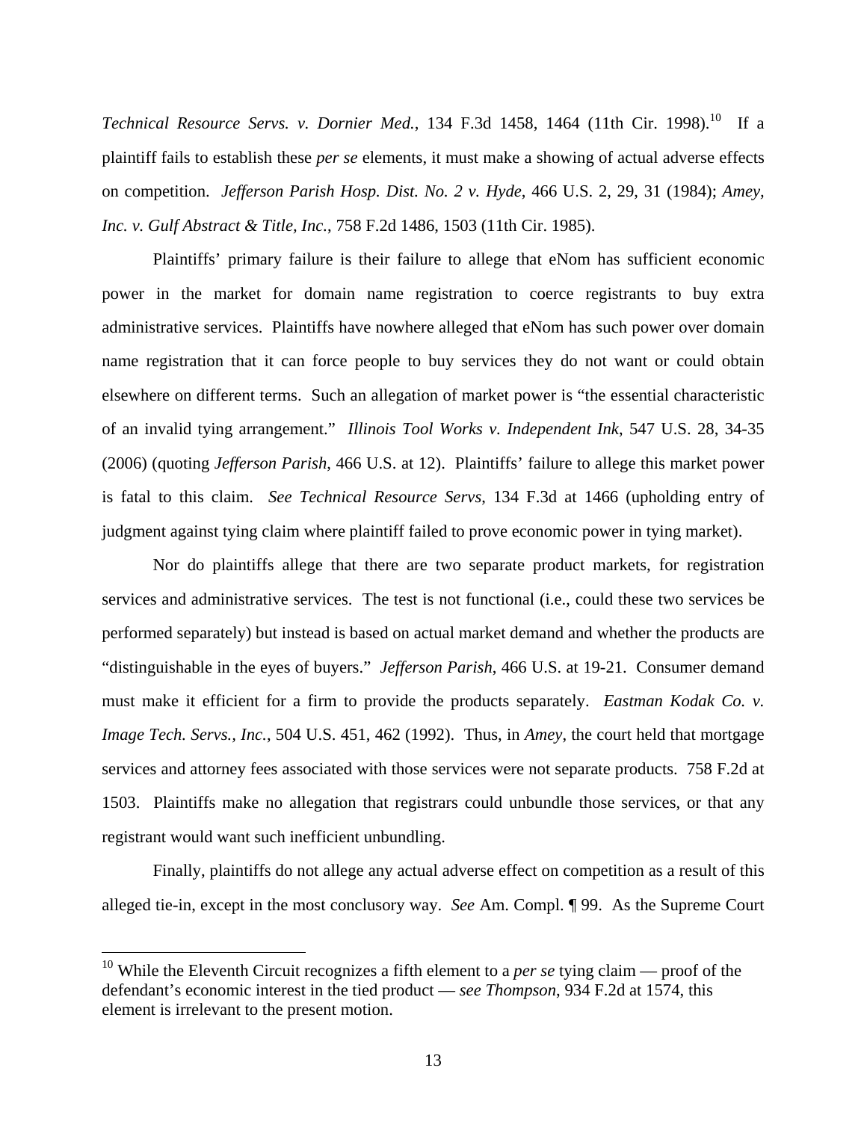*Technical Resource Servs. v. Dornier Med.*, 134 F.3d 1458, 1464 (11th Cir. 1998).<sup>10</sup> If a plaintiff fails to establish these *per se* elements, it must make a showing of actual adverse effects on competition. *Jefferson Parish Hosp. Dist. No. 2 v. Hyde*, 466 U.S. 2, 29, 31 (1984); *Amey, Inc. v. Gulf Abstract & Title, Inc.*, 758 F.2d 1486, 1503 (11th Cir. 1985).

Plaintiffs' primary failure is their failure to allege that eNom has sufficient economic power in the market for domain name registration to coerce registrants to buy extra administrative services. Plaintiffs have nowhere alleged that eNom has such power over domain name registration that it can force people to buy services they do not want or could obtain elsewhere on different terms. Such an allegation of market power is "the essential characteristic of an invalid tying arrangement." *Illinois Tool Works v. Independent Ink*, 547 U.S. 28, 34-35 (2006) (quoting *Jefferson Parish*, 466 U.S. at 12). Plaintiffs' failure to allege this market power is fatal to this claim. *See Technical Resource Servs*, 134 F.3d at 1466 (upholding entry of judgment against tying claim where plaintiff failed to prove economic power in tying market).

Nor do plaintiffs allege that there are two separate product markets, for registration services and administrative services. The test is not functional (i.e., could these two services be performed separately) but instead is based on actual market demand and whether the products are "distinguishable in the eyes of buyers." *Jefferson Parish*, 466 U.S. at 19-21. Consumer demand must make it efficient for a firm to provide the products separately. *Eastman Kodak Co. v. Image Tech. Servs., Inc.*, 504 U.S. 451, 462 (1992). Thus, in *Amey*, the court held that mortgage services and attorney fees associated with those services were not separate products. 758 F.2d at 1503. Plaintiffs make no allegation that registrars could unbundle those services, or that any registrant would want such inefficient unbundling.

Finally, plaintiffs do not allege any actual adverse effect on competition as a result of this alleged tie-in, except in the most conclusory way. *See* Am. Compl. ¶ 99. As the Supreme Court

<sup>&</sup>lt;sup>10</sup> While the Eleventh Circuit recognizes a fifth element to a *per se* tying claim — proof of the defendant's economic interest in the tied product — *see Thompson*, 934 F.2d at 1574, this element is irrelevant to the present motion.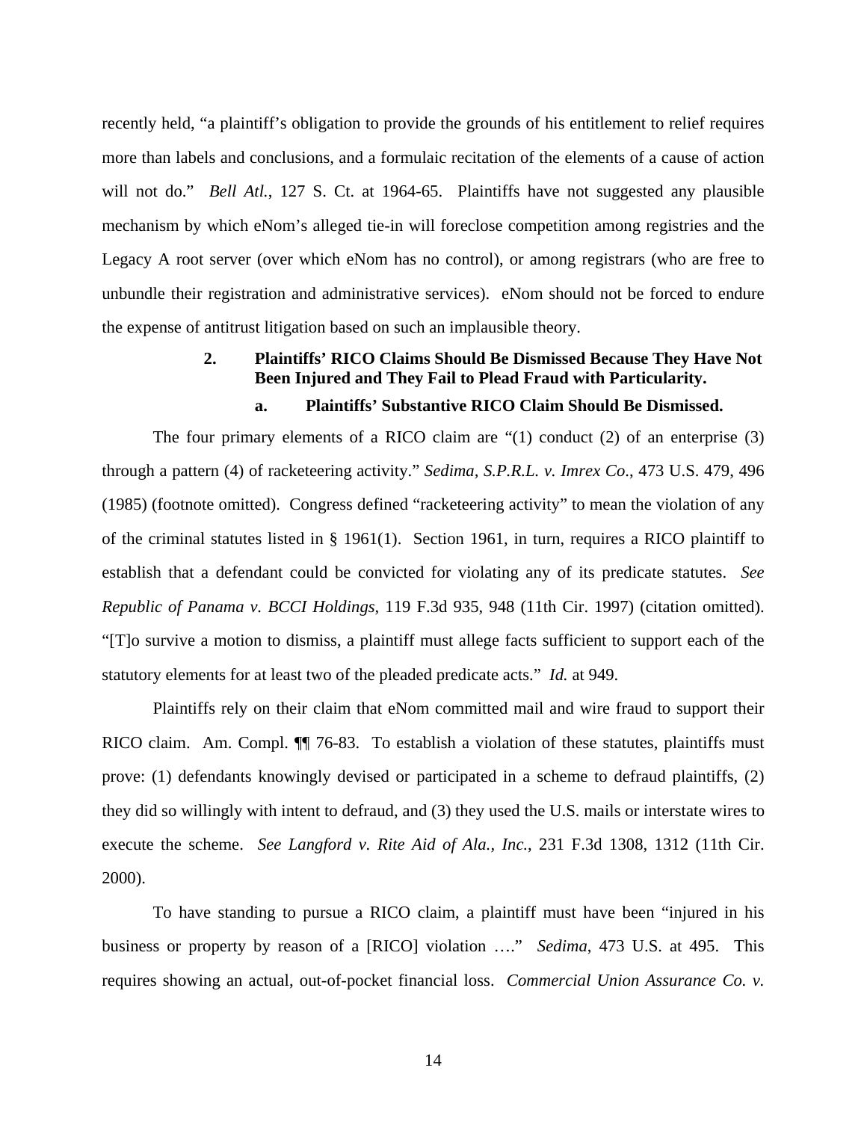recently held, "a plaintiff's obligation to provide the grounds of his entitlement to relief requires more than labels and conclusions, and a formulaic recitation of the elements of a cause of action will not do." *Bell Atl.*, 127 S. Ct. at 1964-65. Plaintiffs have not suggested any plausible mechanism by which eNom's alleged tie-in will foreclose competition among registries and the Legacy A root server (over which eNom has no control), or among registrars (who are free to unbundle their registration and administrative services). eNom should not be forced to endure the expense of antitrust litigation based on such an implausible theory.

# **2. Plaintiffs' RICO Claims Should Be Dismissed Because They Have Not Been Injured and They Fail to Plead Fraud with Particularity.**

# **a. Plaintiffs' Substantive RICO Claim Should Be Dismissed.**

The four primary elements of a RICO claim are  $(1)$  conduct (2) of an enterprise (3) through a pattern (4) of racketeering activity." *Sedima, S.P.R.L. v. Imrex Co*., 473 U.S. 479, 496 (1985) (footnote omitted). Congress defined "racketeering activity" to mean the violation of any of the criminal statutes listed in § 1961(1). Section 1961, in turn, requires a RICO plaintiff to establish that a defendant could be convicted for violating any of its predicate statutes. *See Republic of Panama v. BCCI Holdings*, 119 F.3d 935, 948 (11th Cir. 1997) (citation omitted). "[T]o survive a motion to dismiss, a plaintiff must allege facts sufficient to support each of the statutory elements for at least two of the pleaded predicate acts." *Id.* at 949.

Plaintiffs rely on their claim that eNom committed mail and wire fraud to support their RICO claim. Am. Compl. ¶¶ 76-83. To establish a violation of these statutes, plaintiffs must prove: (1) defendants knowingly devised or participated in a scheme to defraud plaintiffs, (2) they did so willingly with intent to defraud, and (3) they used the U.S. mails or interstate wires to execute the scheme. *See Langford v. Rite Aid of Ala., Inc.*, 231 F.3d 1308, 1312 (11th Cir. 2000).

To have standing to pursue a RICO claim, a plaintiff must have been "injured in his business or property by reason of a [RICO] violation …." *Sedima*, 473 U.S. at 495. This requires showing an actual, out-of-pocket financial loss. *Commercial Union Assurance Co. v.*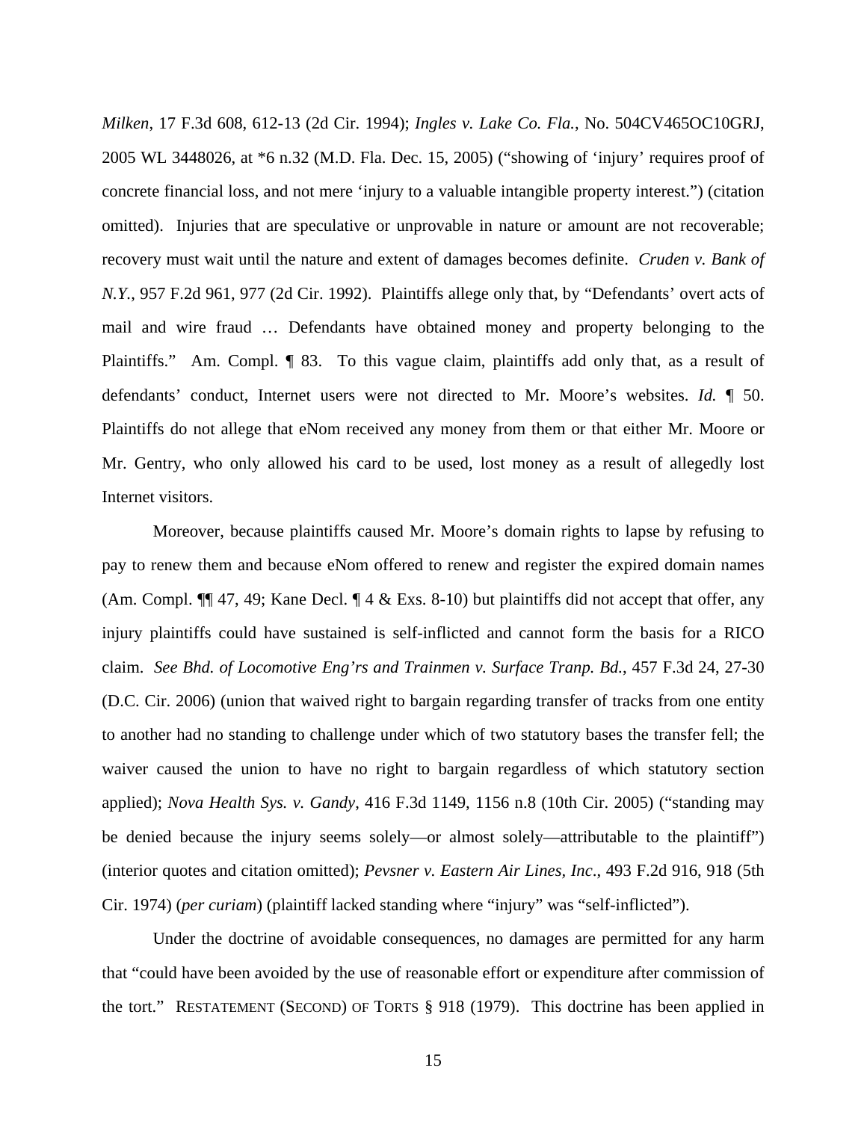*Milken*, 17 F.3d 608, 612-13 (2d Cir. 1994); *Ingles v. Lake Co. Fla.*, No. 504CV465OC10GRJ, 2005 WL 3448026, at \*6 n.32 (M.D. Fla. Dec. 15, 2005) ("showing of 'injury' requires proof of concrete financial loss, and not mere 'injury to a valuable intangible property interest.") (citation omitted). Injuries that are speculative or unprovable in nature or amount are not recoverable; recovery must wait until the nature and extent of damages becomes definite. *Cruden v. Bank of N.Y.*, 957 F.2d 961, 977 (2d Cir. 1992). Plaintiffs allege only that, by "Defendants' overt acts of mail and wire fraud … Defendants have obtained money and property belonging to the Plaintiffs." Am. Compl. ¶ 83. To this vague claim, plaintiffs add only that, as a result of defendants' conduct, Internet users were not directed to Mr. Moore's websites. *Id.* ¶ 50. Plaintiffs do not allege that eNom received any money from them or that either Mr. Moore or Mr. Gentry, who only allowed his card to be used, lost money as a result of allegedly lost Internet visitors.

Moreover, because plaintiffs caused Mr. Moore's domain rights to lapse by refusing to pay to renew them and because eNom offered to renew and register the expired domain names (Am. Compl.  $\P$  47, 49; Kane Decl.  $\P$  4 & Exs. 8-10) but plaintiffs did not accept that offer, any injury plaintiffs could have sustained is self-inflicted and cannot form the basis for a RICO claim. *See Bhd. of Locomotive Eng'rs and Trainmen v. Surface Tranp. Bd.*, 457 F.3d 24, 27-30 (D.C. Cir. 2006) (union that waived right to bargain regarding transfer of tracks from one entity to another had no standing to challenge under which of two statutory bases the transfer fell; the waiver caused the union to have no right to bargain regardless of which statutory section applied); *Nova Health Sys. v. Gandy*, 416 F.3d 1149, 1156 n.8 (10th Cir. 2005) ("standing may be denied because the injury seems solely—or almost solely—attributable to the plaintiff") (interior quotes and citation omitted); *Pevsner v. Eastern Air Lines, Inc*., 493 F.2d 916, 918 (5th Cir. 1974) (*per curiam*) (plaintiff lacked standing where "injury" was "self-inflicted").

Under the doctrine of avoidable consequences, no damages are permitted for any harm that "could have been avoided by the use of reasonable effort or expenditure after commission of the tort." RESTATEMENT (SECOND) OF TORTS § 918 (1979). This doctrine has been applied in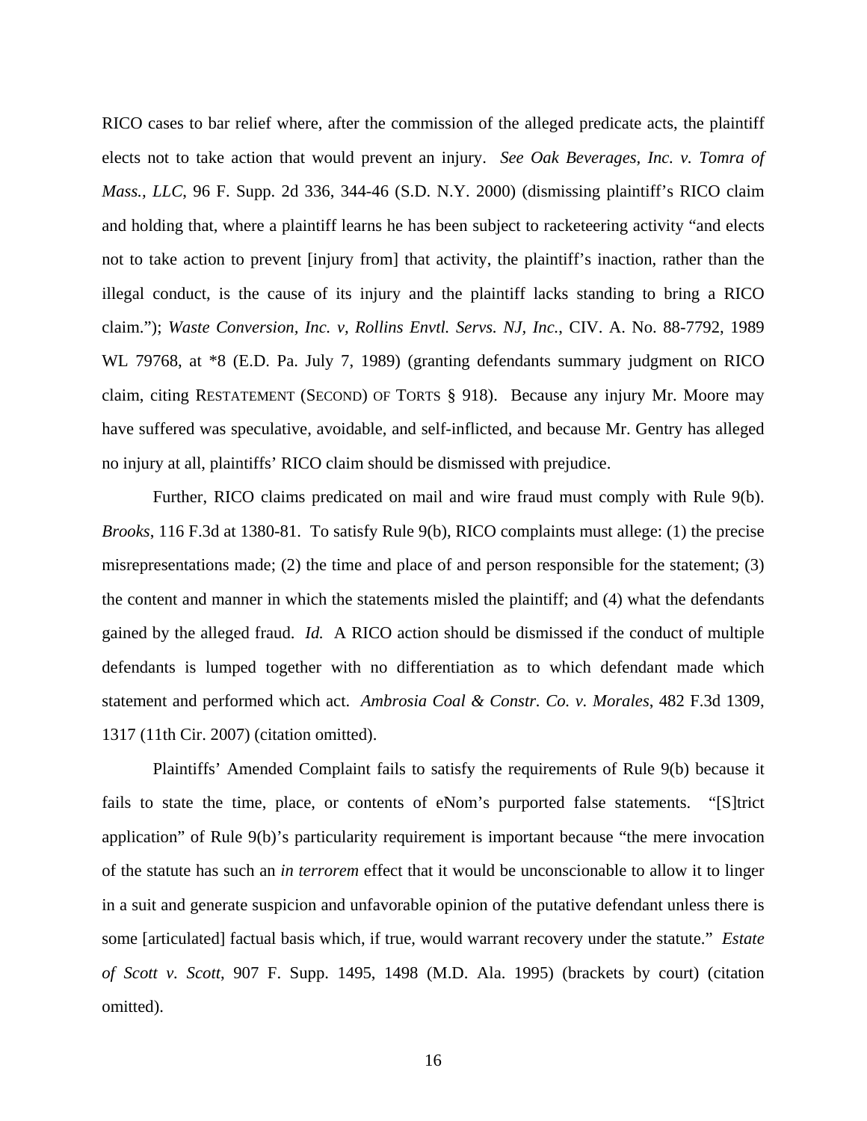RICO cases to bar relief where, after the commission of the alleged predicate acts, the plaintiff elects not to take action that would prevent an injury. *See Oak Beverages, Inc. v. Tomra of Mass., LLC*, 96 F. Supp. 2d 336, 344-46 (S.D. N.Y. 2000) (dismissing plaintiff's RICO claim and holding that, where a plaintiff learns he has been subject to racketeering activity "and elects not to take action to prevent [injury from] that activity, the plaintiff's inaction, rather than the illegal conduct, is the cause of its injury and the plaintiff lacks standing to bring a RICO claim."); *Waste Conversion, Inc. v, Rollins Envtl. Servs. NJ, Inc.*, CIV. A. No. 88-7792, 1989 WL 79768, at \*8 (E.D. Pa. July 7, 1989) (granting defendants summary judgment on RICO claim, citing RESTATEMENT (SECOND) OF TORTS § 918). Because any injury Mr. Moore may have suffered was speculative, avoidable, and self-inflicted, and because Mr. Gentry has alleged no injury at all, plaintiffs' RICO claim should be dismissed with prejudice.

Further, RICO claims predicated on mail and wire fraud must comply with Rule 9(b). *Brooks*, 116 F.3d at 1380-81. To satisfy Rule 9(b), RICO complaints must allege: (1) the precise misrepresentations made; (2) the time and place of and person responsible for the statement; (3) the content and manner in which the statements misled the plaintiff; and (4) what the defendants gained by the alleged fraud. *Id.* A RICO action should be dismissed if the conduct of multiple defendants is lumped together with no differentiation as to which defendant made which statement and performed which act. *Ambrosia Coal & Constr. Co. v. Morales*, 482 F.3d 1309, 1317 (11th Cir. 2007) (citation omitted).

Plaintiffs' Amended Complaint fails to satisfy the requirements of Rule 9(b) because it fails to state the time, place, or contents of eNom's purported false statements. "[S]trict application" of Rule 9(b)'s particularity requirement is important because "the mere invocation of the statute has such an *in terrorem* effect that it would be unconscionable to allow it to linger in a suit and generate suspicion and unfavorable opinion of the putative defendant unless there is some [articulated] factual basis which, if true, would warrant recovery under the statute." *Estate of Scott v. Scott*, 907 F. Supp. 1495, 1498 (M.D. Ala. 1995) (brackets by court) (citation omitted).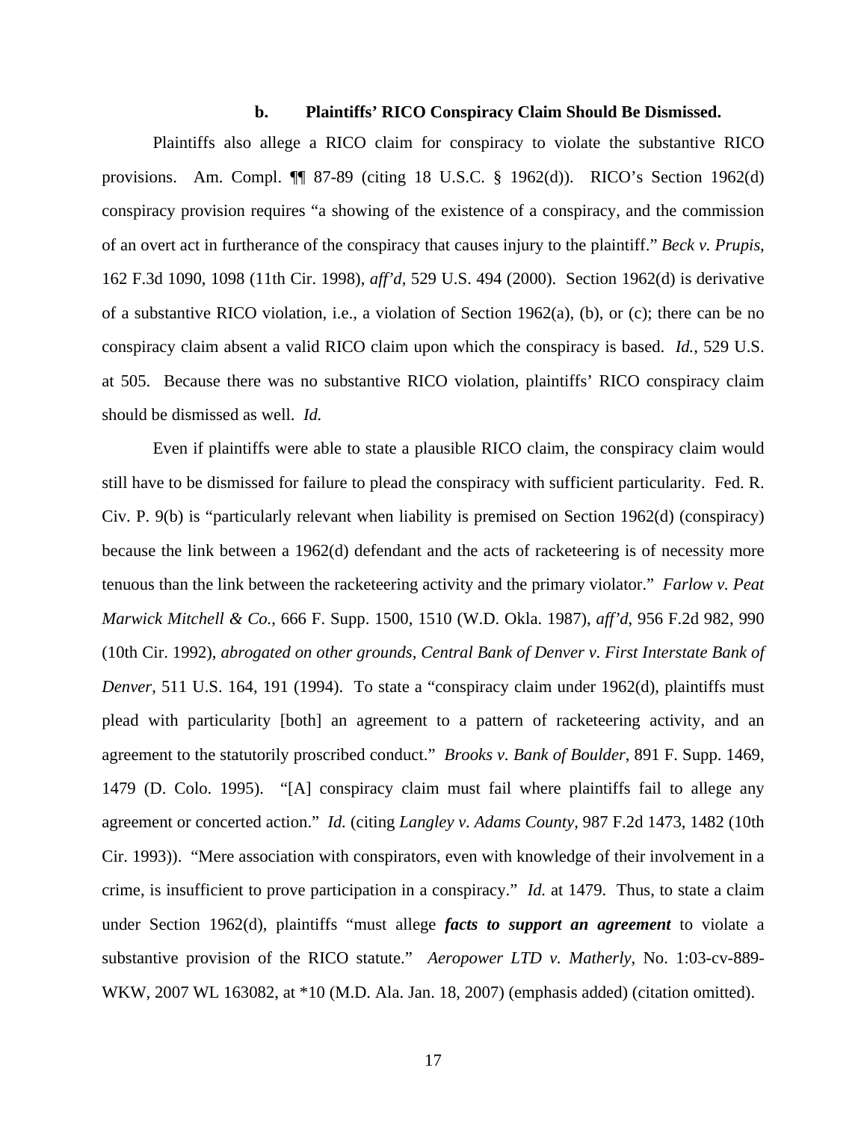### **b. Plaintiffs' RICO Conspiracy Claim Should Be Dismissed.**

Plaintiffs also allege a RICO claim for conspiracy to violate the substantive RICO provisions. Am. Compl. ¶¶ 87-89 (citing 18 U.S.C. § 1962(d)). RICO's Section 1962(d) conspiracy provision requires "a showing of the existence of a conspiracy, and the commission of an overt act in furtherance of the conspiracy that causes injury to the plaintiff." *Beck v. Prupis*, 162 F.3d 1090, 1098 (11th Cir. 1998), *aff'd*, 529 U.S. 494 (2000). Section 1962(d) is derivative of a substantive RICO violation, i.e., a violation of Section 1962(a), (b), or (c); there can be no conspiracy claim absent a valid RICO claim upon which the conspiracy is based. *Id.*, 529 U.S. at 505. Because there was no substantive RICO violation, plaintiffs' RICO conspiracy claim should be dismissed as well. *Id.*

Even if plaintiffs were able to state a plausible RICO claim, the conspiracy claim would still have to be dismissed for failure to plead the conspiracy with sufficient particularity. Fed. R. Civ. P. 9(b) is "particularly relevant when liability is premised on Section 1962(d) (conspiracy) because the link between a 1962(d) defendant and the acts of racketeering is of necessity more tenuous than the link between the racketeering activity and the primary violator." *Farlow v. Peat Marwick Mitchell & Co.*, 666 F. Supp. 1500, 1510 (W.D. Okla. 1987), *aff'd*, 956 F.2d 982, 990 (10th Cir. 1992), *abrogated on other grounds*, *Central Bank of Denver v. First Interstate Bank of Denver*, 511 U.S. 164, 191 (1994). To state a "conspiracy claim under 1962(d), plaintiffs must plead with particularity [both] an agreement to a pattern of racketeering activity, and an agreement to the statutorily proscribed conduct." *Brooks v. Bank of Boulder*, 891 F. Supp. 1469, 1479 (D. Colo. 1995). "[A] conspiracy claim must fail where plaintiffs fail to allege any agreement or concerted action." *Id.* (citing *Langley v. Adams County,* 987 F.2d 1473, 1482 (10th Cir. 1993)). "Mere association with conspirators, even with knowledge of their involvement in a crime, is insufficient to prove participation in a conspiracy." *Id.* at 1479. Thus, to state a claim under Section 1962(d), plaintiffs "must allege *facts to support an agreement* to violate a substantive provision of the RICO statute." *Aeropower LTD v. Matherly*, No. 1:03-cv-889- WKW, 2007 WL 163082, at \*10 (M.D. Ala. Jan. 18, 2007) (emphasis added) (citation omitted).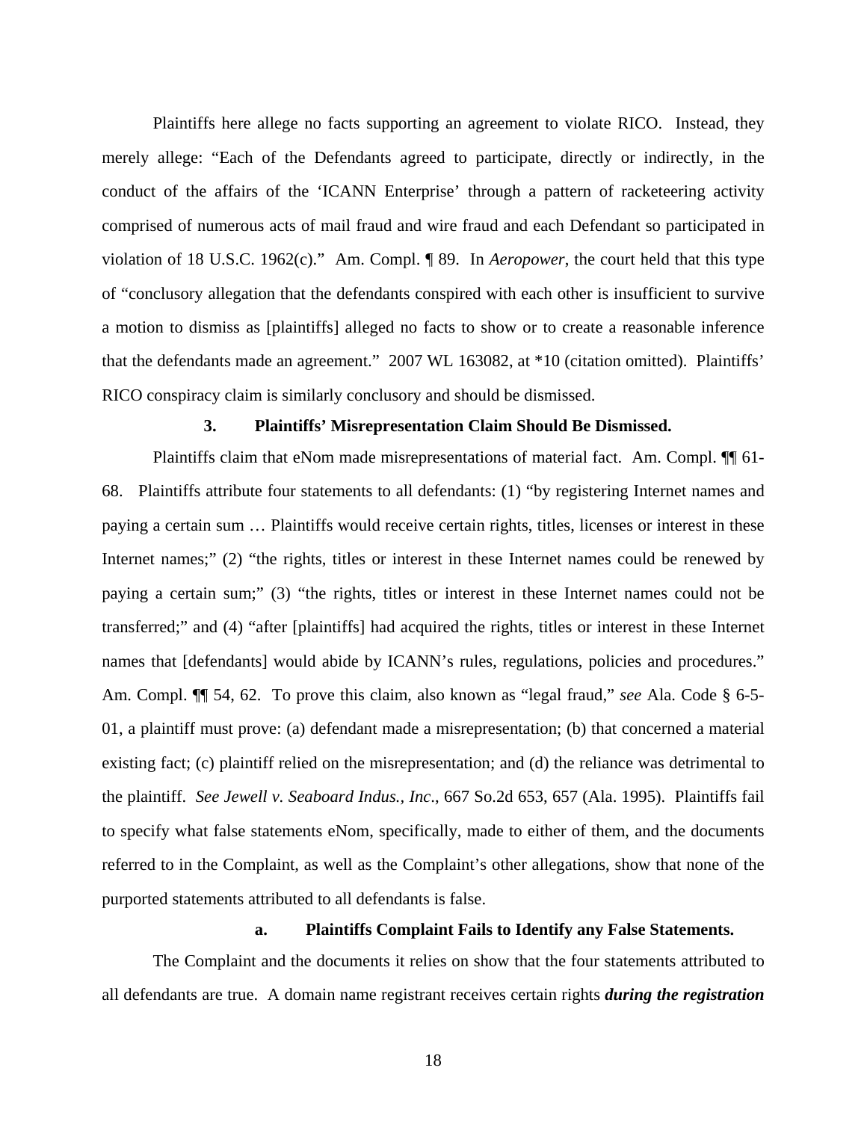Plaintiffs here allege no facts supporting an agreement to violate RICO. Instead, they merely allege: "Each of the Defendants agreed to participate, directly or indirectly, in the conduct of the affairs of the 'ICANN Enterprise' through a pattern of racketeering activity comprised of numerous acts of mail fraud and wire fraud and each Defendant so participated in violation of 18 U.S.C. 1962(c)." Am. Compl. ¶ 89. In *Aeropower*, the court held that this type of "conclusory allegation that the defendants conspired with each other is insufficient to survive a motion to dismiss as [plaintiffs] alleged no facts to show or to create a reasonable inference that the defendants made an agreement." 2007 WL 163082, at \*10 (citation omitted). Plaintiffs' RICO conspiracy claim is similarly conclusory and should be dismissed.

#### **3. Plaintiffs' Misrepresentation Claim Should Be Dismissed.**

Plaintiffs claim that eNom made misrepresentations of material fact. Am. Compl. <sup>¶</sup> 61-68. Plaintiffs attribute four statements to all defendants: (1) "by registering Internet names and paying a certain sum … Plaintiffs would receive certain rights, titles, licenses or interest in these Internet names;" (2) "the rights, titles or interest in these Internet names could be renewed by paying a certain sum;" (3) "the rights, titles or interest in these Internet names could not be transferred;" and (4) "after [plaintiffs] had acquired the rights, titles or interest in these Internet names that [defendants] would abide by ICANN's rules, regulations, policies and procedures." Am. Compl. ¶¶ 54, 62. To prove this claim, also known as "legal fraud," *see* Ala. Code § 6-5- 01, a plaintiff must prove: (a) defendant made a misrepresentation; (b) that concerned a material existing fact; (c) plaintiff relied on the misrepresentation; and (d) the reliance was detrimental to the plaintiff. *See Jewell v. Seaboard Indus., Inc*., 667 So.2d 653, 657 (Ala. 1995). Plaintiffs fail to specify what false statements eNom, specifically, made to either of them, and the documents referred to in the Complaint, as well as the Complaint's other allegations, show that none of the purported statements attributed to all defendants is false.

# **a. Plaintiffs Complaint Fails to Identify any False Statements.**

The Complaint and the documents it relies on show that the four statements attributed to all defendants are true. A domain name registrant receives certain rights *during the registration*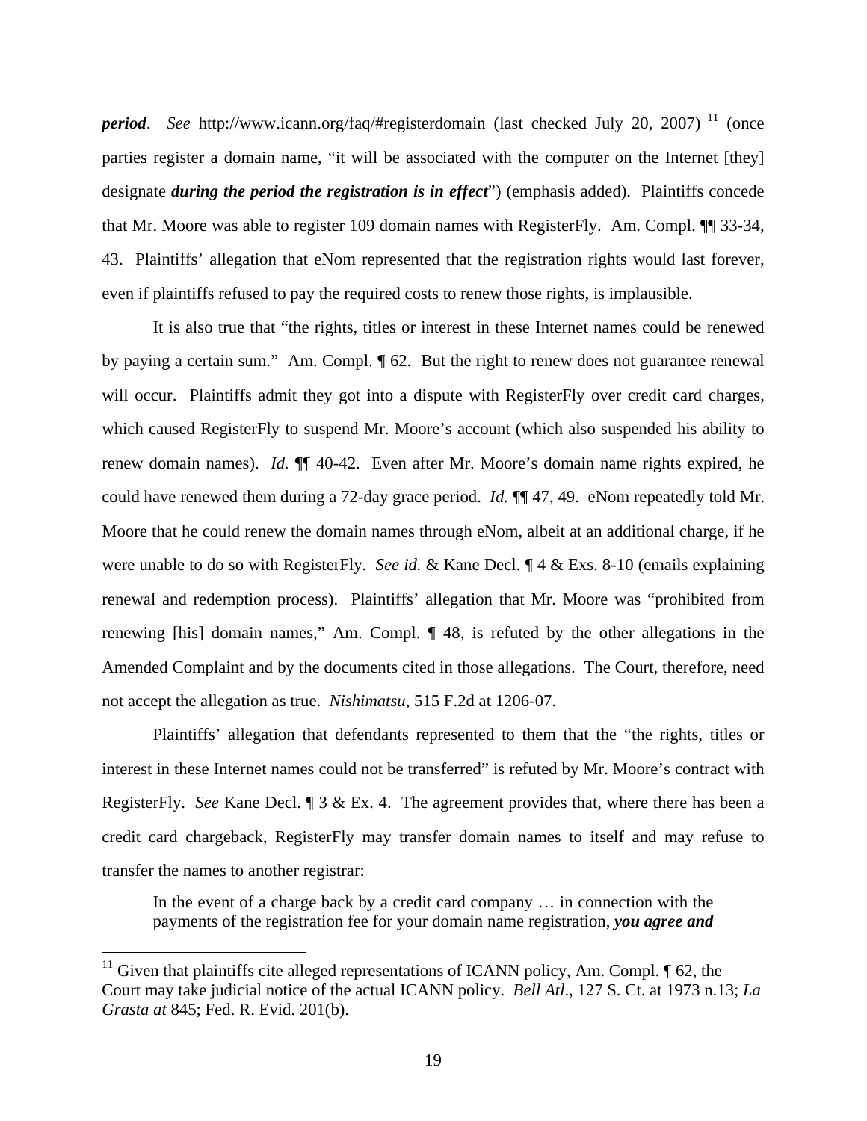*period.* See http://www.icann.org/faq/#registerdomain (last checked July 20, 2007) <sup>11</sup> (once parties register a domain name, "it will be associated with the computer on the Internet [they] designate *during the period the registration is in effect*") (emphasis added). Plaintiffs concede that Mr. Moore was able to register 109 domain names with RegisterFly. Am. Compl. ¶¶ 33-34, 43. Plaintiffs' allegation that eNom represented that the registration rights would last forever, even if plaintiffs refused to pay the required costs to renew those rights, is implausible.

It is also true that "the rights, titles or interest in these Internet names could be renewed by paying a certain sum." Am. Compl.  $\llbracket 62$ . But the right to renew does not guarantee renewal will occur. Plaintiffs admit they got into a dispute with RegisterFly over credit card charges, which caused RegisterFly to suspend Mr. Moore's account (which also suspended his ability to renew domain names). *Id.* ¶¶ 40-42. Even after Mr. Moore's domain name rights expired, he could have renewed them during a 72-day grace period. *Id.* ¶¶ 47, 49. eNom repeatedly told Mr. Moore that he could renew the domain names through eNom, albeit at an additional charge, if he were unable to do so with RegisterFly. *See id.* & Kane Decl. ¶ 4 & Exs. 8-10 (emails explaining renewal and redemption process). Plaintiffs' allegation that Mr. Moore was "prohibited from renewing [his] domain names," Am. Compl. ¶ 48, is refuted by the other allegations in the Amended Complaint and by the documents cited in those allegations. The Court, therefore, need not accept the allegation as true. *Nishimatsu*, 515 F.2d at 1206-07.

Plaintiffs' allegation that defendants represented to them that the "the rights, titles or interest in these Internet names could not be transferred" is refuted by Mr. Moore's contract with RegisterFly. *See* Kane Decl. ¶ 3 & Ex. 4. The agreement provides that, where there has been a credit card chargeback, RegisterFly may transfer domain names to itself and may refuse to transfer the names to another registrar:

In the event of a charge back by a credit card company … in connection with the payments of the registration fee for your domain name registration, *you agree and* 

<sup>&</sup>lt;sup>11</sup> Given that plaintiffs cite alleged representations of ICANN policy, Am. Compl.  $\P$  62, the Court may take judicial notice of the actual ICANN policy. *Bell Atl*., 127 S. Ct. at 1973 n.13; *La Grasta at* 845; Fed. R. Evid. 201(b).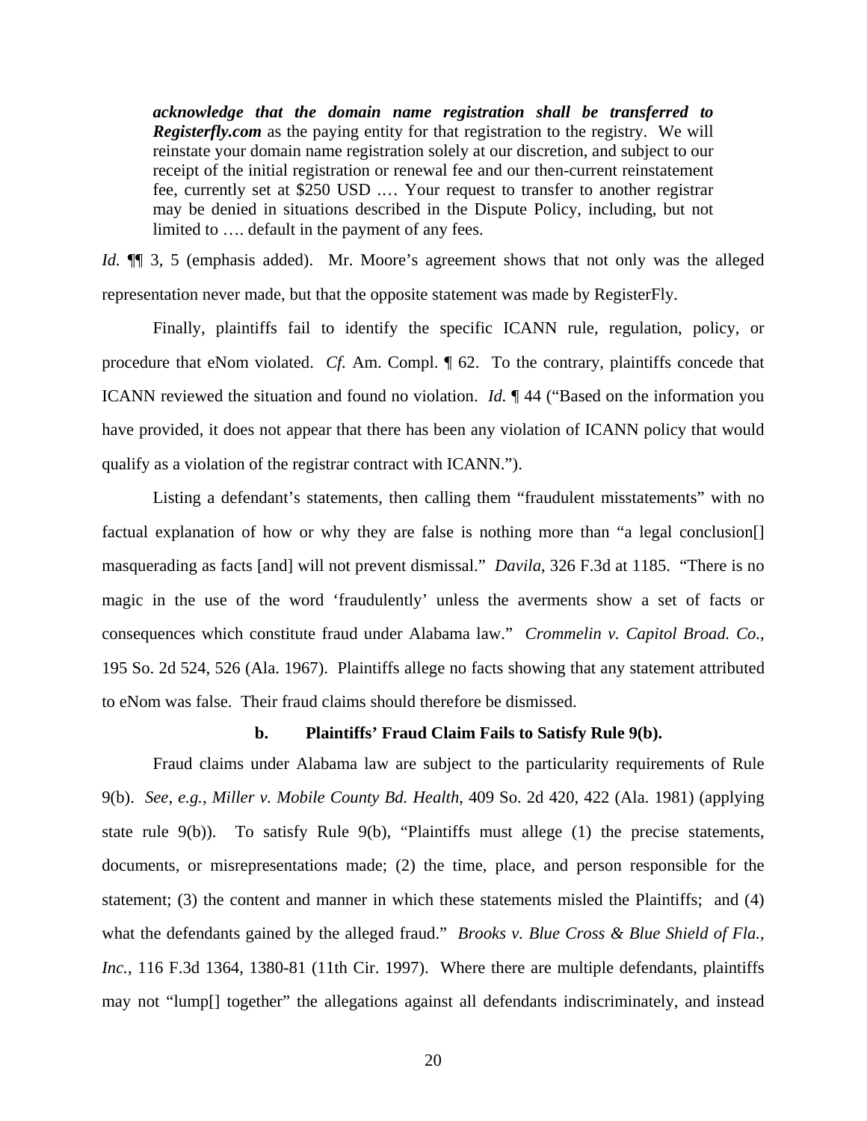*acknowledge that the domain name registration shall be transferred to Registerfly.com* as the paying entity for that registration to the registry. We will reinstate your domain name registration solely at our discretion, and subject to our receipt of the initial registration or renewal fee and our then-current reinstatement fee, currently set at \$250 USD .… Your request to transfer to another registrar may be denied in situations described in the Dispute Policy, including, but not limited to …. default in the payment of any fees.

*Id.*  $\P$  3, 5 (emphasis added). Mr. Moore's agreement shows that not only was the alleged representation never made, but that the opposite statement was made by RegisterFly.

Finally, plaintiffs fail to identify the specific ICANN rule, regulation, policy, or procedure that eNom violated. *Cf.* Am. Compl. ¶ 62. To the contrary, plaintiffs concede that ICANN reviewed the situation and found no violation. *Id.* ¶ 44 ("Based on the information you have provided, it does not appear that there has been any violation of ICANN policy that would qualify as a violation of the registrar contract with ICANN.").

Listing a defendant's statements, then calling them "fraudulent misstatements" with no factual explanation of how or why they are false is nothing more than "a legal conclusion[] masquerading as facts [and] will not prevent dismissal." *Davila*, 326 F.3d at 1185. "There is no magic in the use of the word 'fraudulently' unless the averments show a set of facts or consequences which constitute fraud under Alabama law." *Crommelin v. Capitol Broad. Co.*, 195 So. 2d 524, 526 (Ala. 1967). Plaintiffs allege no facts showing that any statement attributed to eNom was false. Their fraud claims should therefore be dismissed.

### **b. Plaintiffs' Fraud Claim Fails to Satisfy Rule 9(b).**

Fraud claims under Alabama law are subject to the particularity requirements of Rule 9(b). *See*, *e.g.*, *Miller v. Mobile County Bd. Health*, 409 So. 2d 420, 422 (Ala. 1981) (applying state rule 9(b)). To satisfy Rule 9(b), "Plaintiffs must allege (1) the precise statements, documents, or misrepresentations made; (2) the time, place, and person responsible for the statement; (3) the content and manner in which these statements misled the Plaintiffs; and (4) what the defendants gained by the alleged fraud." *Brooks v. Blue Cross & Blue Shield of Fla., Inc.*, 116 F.3d 1364, 1380-81 (11th Cir. 1997). Where there are multiple defendants, plaintiffs may not "lump[] together" the allegations against all defendants indiscriminately, and instead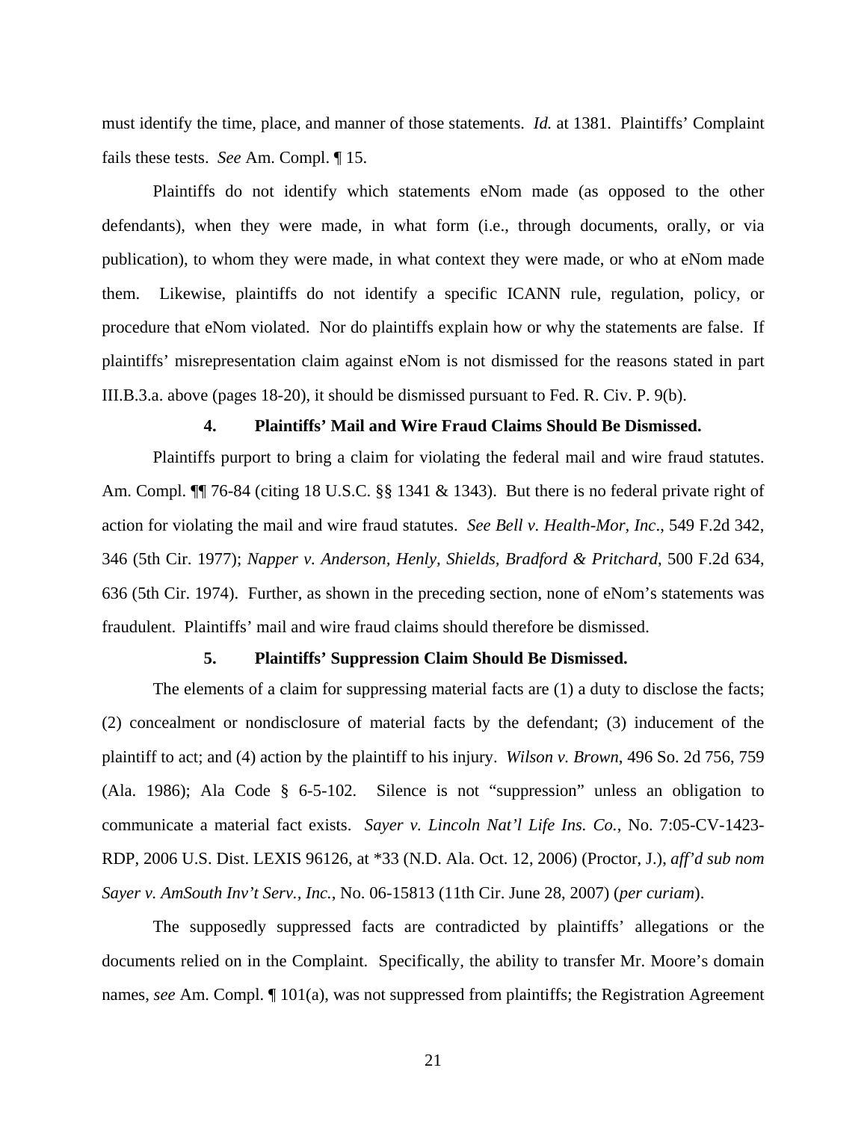must identify the time, place, and manner of those statements. *Id.* at 1381. Plaintiffs' Complaint fails these tests. *See* Am. Compl. ¶ 15.

Plaintiffs do not identify which statements eNom made (as opposed to the other defendants), when they were made, in what form (i.e., through documents, orally, or via publication), to whom they were made, in what context they were made, or who at eNom made them. Likewise, plaintiffs do not identify a specific ICANN rule, regulation, policy, or procedure that eNom violated. Nor do plaintiffs explain how or why the statements are false. If plaintiffs' misrepresentation claim against eNom is not dismissed for the reasons stated in part III.B.3.a. above (pages 18-20), it should be dismissed pursuant to Fed. R. Civ. P. 9(b).

# **4. Plaintiffs' Mail and Wire Fraud Claims Should Be Dismissed.**

Plaintiffs purport to bring a claim for violating the federal mail and wire fraud statutes. Am. Compl. II 76-84 (citing 18 U.S.C. §§ 1341 & 1343). But there is no federal private right of action for violating the mail and wire fraud statutes. *See Bell v. Health-Mor, Inc*., 549 F.2d 342, 346 (5th Cir. 1977); *Napper v. Anderson, Henly, Shields, Bradford & Pritchard*, 500 F.2d 634, 636 (5th Cir. 1974). Further, as shown in the preceding section, none of eNom's statements was fraudulent. Plaintiffs' mail and wire fraud claims should therefore be dismissed.

### **5. Plaintiffs' Suppression Claim Should Be Dismissed.**

The elements of a claim for suppressing material facts are (1) a duty to disclose the facts; (2) concealment or nondisclosure of material facts by the defendant; (3) inducement of the plaintiff to act; and (4) action by the plaintiff to his injury. *Wilson v. Brown*, 496 So. 2d 756, 759 (Ala. 1986); Ala Code § 6-5-102. Silence is not "suppression" unless an obligation to communicate a material fact exists. *Sayer v. Lincoln Nat'l Life Ins. Co.*, No. 7:05-CV-1423- RDP, 2006 U.S. Dist. LEXIS 96126, at \*33 (N.D. Ala. Oct. 12, 2006) (Proctor, J.), *aff'd sub nom Sayer v. AmSouth Inv't Serv., Inc.*, No. 06-15813 (11th Cir. June 28, 2007) (*per curiam*).

The supposedly suppressed facts are contradicted by plaintiffs' allegations or the documents relied on in the Complaint. Specifically, the ability to transfer Mr. Moore's domain names, *see* Am. Compl. ¶ 101(a), was not suppressed from plaintiffs; the Registration Agreement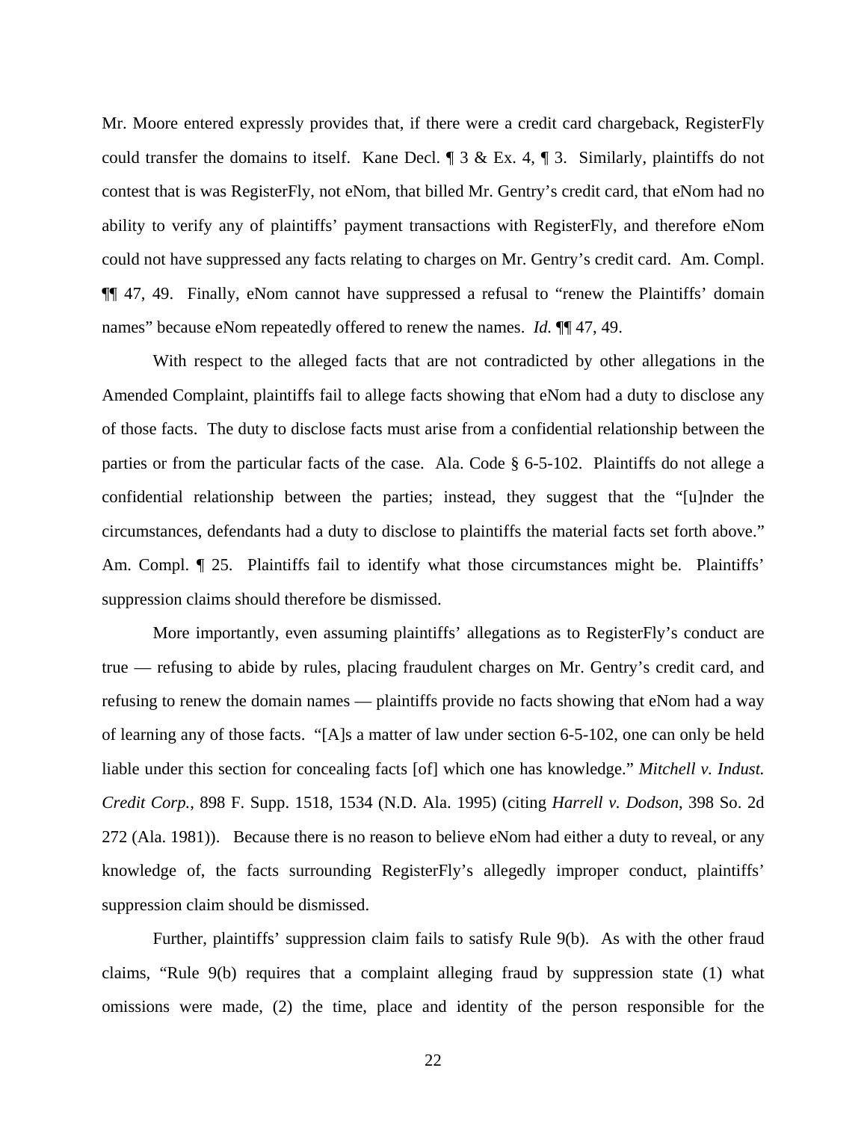Mr. Moore entered expressly provides that, if there were a credit card chargeback, RegisterFly could transfer the domains to itself. Kane Decl.  $\parallel$  3 & Ex. 4,  $\parallel$  3. Similarly, plaintiffs do not contest that is was RegisterFly, not eNom, that billed Mr. Gentry's credit card, that eNom had no ability to verify any of plaintiffs' payment transactions with RegisterFly, and therefore eNom could not have suppressed any facts relating to charges on Mr. Gentry's credit card. Am. Compl. ¶¶ 47, 49. Finally, eNom cannot have suppressed a refusal to "renew the Plaintiffs' domain names" because eNom repeatedly offered to renew the names. *Id.*  $\P$  47, 49.

With respect to the alleged facts that are not contradicted by other allegations in the Amended Complaint, plaintiffs fail to allege facts showing that eNom had a duty to disclose any of those facts. The duty to disclose facts must arise from a confidential relationship between the parties or from the particular facts of the case. Ala. Code § 6-5-102. Plaintiffs do not allege a confidential relationship between the parties; instead, they suggest that the "[u]nder the circumstances, defendants had a duty to disclose to plaintiffs the material facts set forth above." Am. Compl.  $\llbracket$  25. Plaintiffs fail to identify what those circumstances might be. Plaintiffs' suppression claims should therefore be dismissed.

More importantly, even assuming plaintiffs' allegations as to RegisterFly's conduct are true — refusing to abide by rules, placing fraudulent charges on Mr. Gentry's credit card, and refusing to renew the domain names — plaintiffs provide no facts showing that eNom had a way of learning any of those facts. "[A]s a matter of law under section 6-5-102, one can only be held liable under this section for concealing facts [of] which one has knowledge." *Mitchell v. Indust. Credit Corp.*, 898 F. Supp. 1518, 1534 (N.D. Ala. 1995) (citing *Harrell v. Dodson*, 398 So. 2d 272 (Ala. 1981)). Because there is no reason to believe eNom had either a duty to reveal, or any knowledge of, the facts surrounding RegisterFly's allegedly improper conduct, plaintiffs' suppression claim should be dismissed.

Further, plaintiffs' suppression claim fails to satisfy Rule 9(b). As with the other fraud claims, "Rule 9(b) requires that a complaint alleging fraud by suppression state (1) what omissions were made, (2) the time, place and identity of the person responsible for the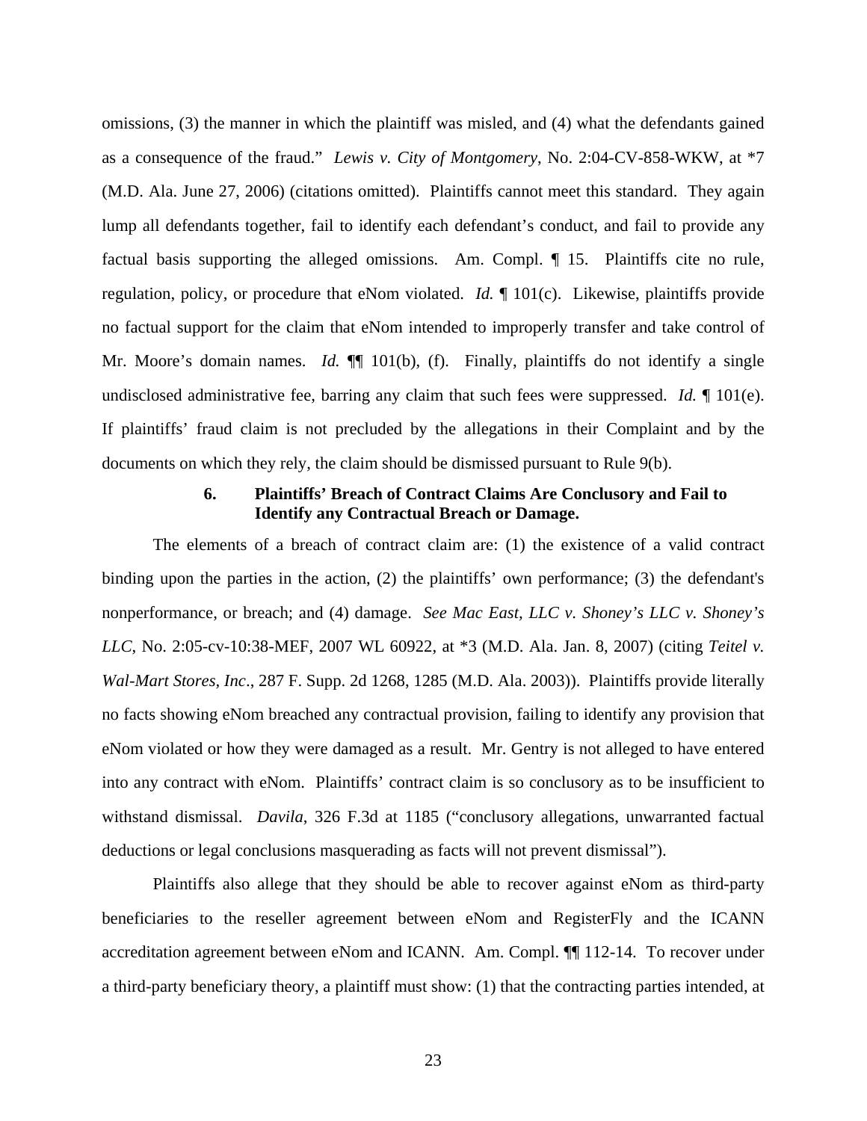omissions, (3) the manner in which the plaintiff was misled, and (4) what the defendants gained as a consequence of the fraud." *Lewis v. City of Montgomery*, No. 2:04-CV-858-WKW, at \*7 (M.D. Ala. June 27, 2006) (citations omitted). Plaintiffs cannot meet this standard. They again lump all defendants together, fail to identify each defendant's conduct, and fail to provide any factual basis supporting the alleged omissions. Am. Compl. ¶ 15. Plaintiffs cite no rule, regulation, policy, or procedure that eNom violated. *Id.* ¶ 101(c). Likewise, plaintiffs provide no factual support for the claim that eNom intended to improperly transfer and take control of Mr. Moore's domain names. *Id.*  $\P$ [101(b), (f). Finally, plaintiffs do not identify a single undisclosed administrative fee, barring any claim that such fees were suppressed. *Id.* ¶ 101(e). If plaintiffs' fraud claim is not precluded by the allegations in their Complaint and by the documents on which they rely, the claim should be dismissed pursuant to Rule 9(b).

# **6. Plaintiffs' Breach of Contract Claims Are Conclusory and Fail to Identify any Contractual Breach or Damage.**

The elements of a breach of contract claim are: (1) the existence of a valid contract binding upon the parties in the action, (2) the plaintiffs' own performance; (3) the defendant's nonperformance, or breach; and (4) damage. *See Mac East, LLC v. Shoney's LLC v. Shoney's LLC*, No. 2:05-cv-10:38-MEF, 2007 WL 60922, at \*3 (M.D. Ala. Jan. 8, 2007) (citing *Teitel v. Wal-Mart Stores, Inc*., 287 F. Supp. 2d 1268, 1285 (M.D. Ala. 2003)). Plaintiffs provide literally no facts showing eNom breached any contractual provision, failing to identify any provision that eNom violated or how they were damaged as a result. Mr. Gentry is not alleged to have entered into any contract with eNom. Plaintiffs' contract claim is so conclusory as to be insufficient to withstand dismissal. *Davila*, 326 F.3d at 1185 ("conclusory allegations, unwarranted factual deductions or legal conclusions masquerading as facts will not prevent dismissal").

Plaintiffs also allege that they should be able to recover against eNom as third-party beneficiaries to the reseller agreement between eNom and RegisterFly and the ICANN accreditation agreement between eNom and ICANN. Am. Compl. ¶¶ 112-14. To recover under a third-party beneficiary theory, a plaintiff must show: (1) that the contracting parties intended, at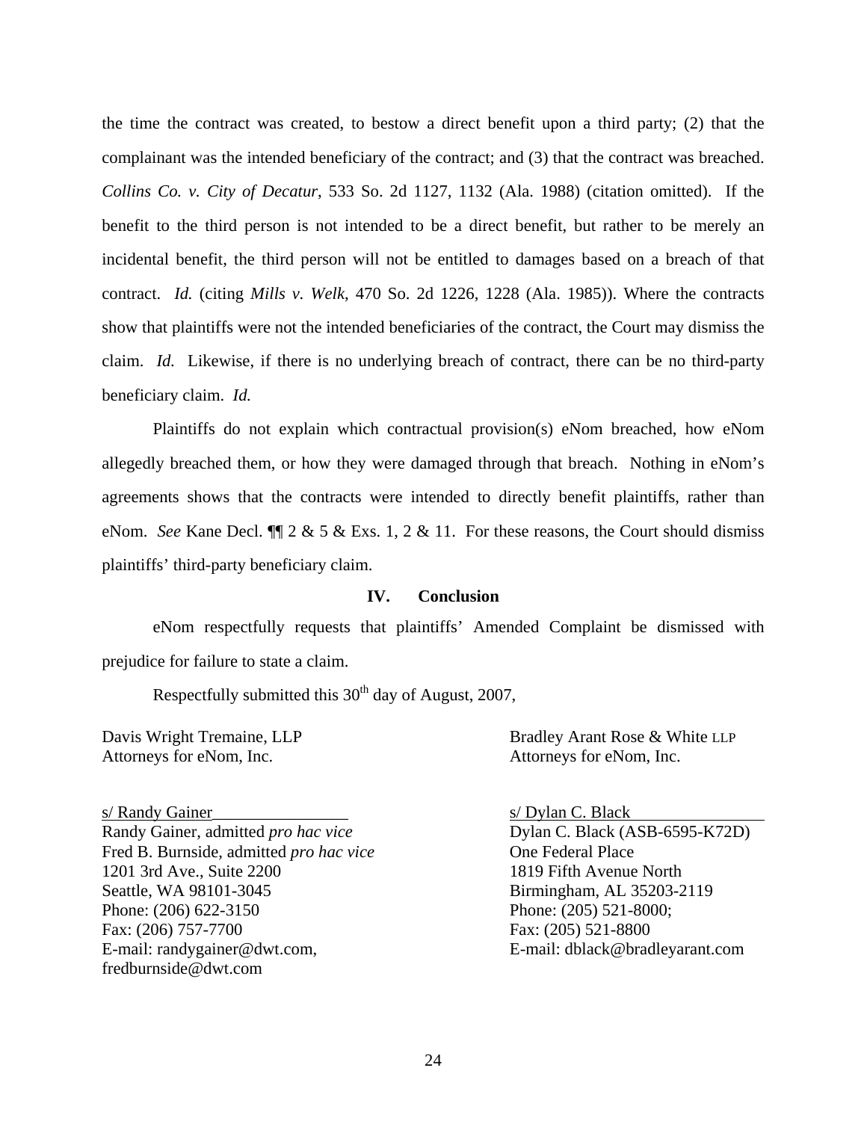the time the contract was created, to bestow a direct benefit upon a third party; (2) that the complainant was the intended beneficiary of the contract; and (3) that the contract was breached. *Collins Co. v. City of Decatur*, 533 So. 2d 1127, 1132 (Ala. 1988) (citation omitted). If the benefit to the third person is not intended to be a direct benefit, but rather to be merely an incidental benefit, the third person will not be entitled to damages based on a breach of that contract. *Id.* (citing *Mills v. Welk*, 470 So. 2d 1226, 1228 (Ala. 1985)). Where the contracts show that plaintiffs were not the intended beneficiaries of the contract, the Court may dismiss the claim. *Id.* Likewise, if there is no underlying breach of contract, there can be no third-party beneficiary claim. *Id.*

Plaintiffs do not explain which contractual provision(s) eNom breached, how eNom allegedly breached them, or how they were damaged through that breach. Nothing in eNom's agreements shows that the contracts were intended to directly benefit plaintiffs, rather than eNom. *See* Kane Decl. ¶¶ 2 & 5 & Exs. 1, 2 & 11. For these reasons, the Court should dismiss plaintiffs' third-party beneficiary claim.

### **IV. Conclusion**

eNom respectfully requests that plaintiffs' Amended Complaint be dismissed with prejudice for failure to state a claim.

Respectfully submitted this  $30<sup>th</sup>$  day of August, 2007,

Attorneys for eNom, Inc. Attorneys for eNom, Inc.

s/ Randy Gainer\_\_\_\_\_\_\_\_\_\_\_\_\_\_\_\_ s/ Dylan C. Black Randy Gainer, admitted *pro hac vice* Dylan C. Black (ASB-6595-K72D) Fred B. Burnside, admitted *pro hac vice* One Federal Place 1201 3rd Ave., Suite 2200 1819 Fifth Avenue North Seattle, WA 98101-3045 Birmingham, AL 35203-2119 Phone: (206) 622-3150 Phone: (205) 521-8000; Fax: (206) 757-7700 Fax: (205) 521-8800 E-mail: randygainer@dwt.com, E-mail: dblack@bradleyarant.com fredburnside@dwt.com

Davis Wright Tremaine, LLP Bradley Arant Rose & White LLP